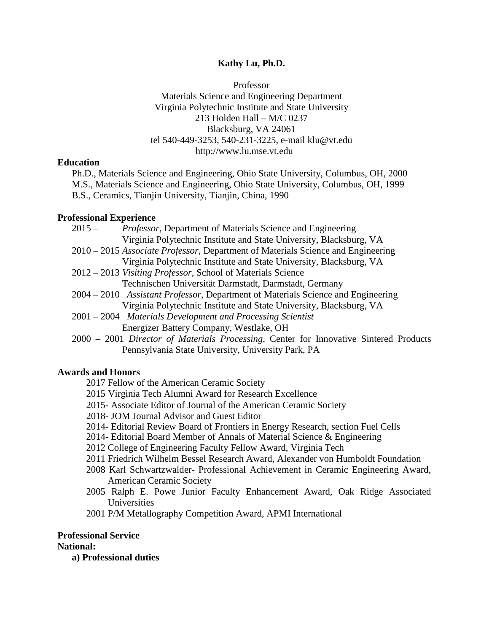#### **Kathy Lu, Ph.D.**

Professor Materials Science and Engineering Department Virginia Polytechnic Institute and State University 213 Holden Hall – M/C 0237 Blacksburg, VA 24061 tel 540-449-3253, 540-231-3225, e-mail klu@vt.edu http://www.lu.mse.vt.edu

#### **Education**

Ph.D., Materials Science and Engineering, Ohio State University, Columbus, OH, 2000 M.S., Materials Science and Engineering, Ohio State University, Columbus, OH, 1999 B.S., Ceramics, Tianjin University, Tianjin, China, 1990

### **Professional Experience**

- 2015 *Professor*, Department of Materials Science and Engineering Virginia Polytechnic Institute and State University, Blacksburg, VA
- 2010 2015 *Associate Professor*, Department of Materials Science and Engineering Virginia Polytechnic Institute and State University, Blacksburg, VA
- 2012 2013 *Visiting Professor*, School of Materials Science Technischen Universität Darmstadt, Darmstadt, Germany
- 2004 2010 *Assistant Professor*, Department of Materials Science and Engineering Virginia Polytechnic Institute and State University, Blacksburg, VA
- 2001 2004 *Materials Development and Processing Scientist* Energizer Battery Company, Westlake, OH
- 2000 2001 *Director of Materials Processing*, Center for Innovative Sintered Products Pennsylvania State University, University Park, PA

## **Awards and Honors**

- 2017 Fellow of the American Ceramic Society
- 2015 Virginia Tech Alumni Award for Research Excellence
- 2015- Associate Editor of Journal of the American Ceramic Society
- 2018- JOM Journal Advisor and Guest Editor
- 2014- Editorial Review Board of Frontiers in Energy Research, section Fuel Cells
- 2014- Editorial Board Member of Annals of Material Science & Engineering
- 2012 College of Engineering Faculty Fellow Award, Virginia Tech
- 2011 Friedrich Wilhelm Bessel Research Award, Alexander von Humboldt Foundation
- 2008 Karl Schwartzwalder- Professional Achievement in Ceramic Engineering Award, American Ceramic Society
- 2005 Ralph E. Powe Junior Faculty Enhancement Award, Oak Ridge Associated Universities

2001 P/M Metallography Competition Award, APMI International

## **Professional Service**

## **National:**

**a) Professional duties**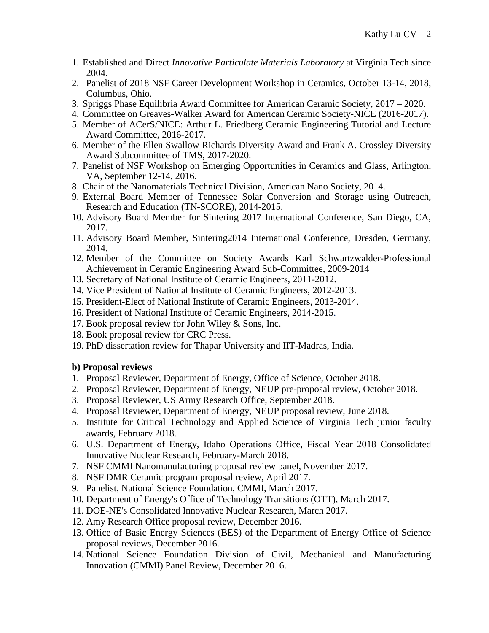- 1. Established and Direct *Innovative Particulate Materials Laboratory* at Virginia Tech since 2004.
- 2. Panelist of 2018 NSF Career Development Workshop in Ceramics, October 13-14, 2018, Columbus, Ohio.
- 3. Spriggs Phase Equilibria Award Committee for American Ceramic Society, 2017 2020.
- 4. Committee on Greaves-Walker Award for American Ceramic Society-NICE (2016-2017).
- 5. Member of ACerS/NICE: Arthur L. Friedberg Ceramic Engineering Tutorial and Lecture Award Committee, 2016-2017.
- 6. Member of the Ellen Swallow Richards Diversity Award and Frank A. Crossley Diversity Award Subcommittee of TMS, 2017-2020.
- 7. Panelist of NSF Workshop on Emerging Opportunities in Ceramics and Glass, Arlington, VA, September 12-14, 2016.
- 8. Chair of the Nanomaterials Technical Division, American Nano Society, 2014.
- 9. External Board Member of Tennessee Solar Conversion and Storage using Outreach, Research and Education (TN-SCORE), 2014-2015.
- 10. Advisory Board Member for Sintering 2017 International Conference, San Diego, CA, 2017.
- 11. Advisory Board Member, Sintering2014 International Conference, Dresden, Germany, 2014.
- 12. Member of the Committee on Society Awards Karl Schwartzwalder-Professional Achievement in Ceramic Engineering Award Sub-Committee, 2009-2014
- 13. Secretary of National Institute of Ceramic Engineers, 2011-2012.
- 14. Vice President of National Institute of Ceramic Engineers, 2012-2013.
- 15. President-Elect of National Institute of Ceramic Engineers, 2013-2014.
- 16. President of National Institute of Ceramic Engineers, 2014-2015.
- 17. Book proposal review for John Wiley & Sons, Inc.
- 18. Book proposal review for CRC Press.
- 19. PhD dissertation review for Thapar University and IIT-Madras, India.

# **b) Proposal reviews**

- 1. Proposal Reviewer, Department of Energy, Office of Science, October 2018.
- 2. Proposal Reviewer, Department of Energy, NEUP pre-proposal review, October 2018.
- 3. Proposal Reviewer, US Army Research Office, September 2018.
- 4. Proposal Reviewer, Department of Energy, NEUP proposal review, June 2018.
- 5. Institute for Critical Technology and Applied Science of Virginia Tech junior faculty awards, February 2018.
- 6. U.S. Department of Energy, Idaho Operations Office, Fiscal Year 2018 Consolidated Innovative Nuclear Research, February-March 2018.
- 7. NSF CMMI Nanomanufacturing proposal review panel, November 2017.
- 8. NSF DMR Ceramic program proposal review, April 2017.
- 9. Panelist, National Science Foundation, CMMI, March 2017.
- 10. Department of Energy's Office of Technology Transitions (OTT), March 2017.
- 11. DOE-NE's Consolidated Innovative Nuclear Research, March 2017.
- 12. Amy Research Office proposal review, December 2016.
- 13. Office of Basic Energy Sciences (BES) of the Department of Energy Office of Science proposal reviews, December 2016.
- 14. National Science Foundation Division of Civil, Mechanical and Manufacturing Innovation (CMMI) Panel Review, December 2016.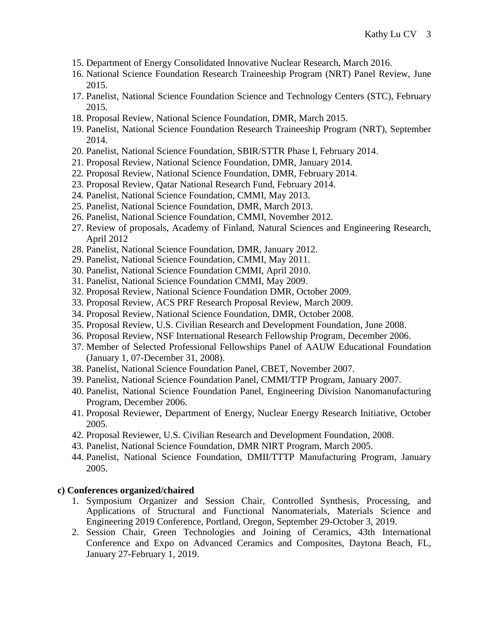- 15. Department of Energy Consolidated Innovative Nuclear Research, March 2016.
- 16. National Science Foundation Research Traineeship Program (NRT) Panel Review, June 2015.
- 17. Panelist, National Science Foundation Science and Technology Centers (STC), February 2015.
- 18. Proposal Review, National Science Foundation, DMR, March 2015.
- 19. Panelist, National Science Foundation Research Traineeship Program (NRT), September 2014.
- 20. Panelist, National Science Foundation, SBIR/STTR Phase I, February 2014.
- 21. Proposal Review, National Science Foundation, DMR, January 2014.
- 22. Proposal Review, National Science Foundation, DMR, February 2014.
- 23. Proposal Review, Qatar National Research Fund, February 2014.
- 24. Panelist, National Science Foundation, CMMI, May 2013.
- 25. Panelist, National Science Foundation, DMR, March 2013.
- 26. Panelist, National Science Foundation, CMMI, November 2012.
- 27. Review of proposals, Academy of Finland, Natural Sciences and Engineering Research, April 2012
- 28. Panelist, National Science Foundation, DMR, January 2012.
- 29. Panelist, National Science Foundation, CMMI, May 2011.
- 30. Panelist, National Science Foundation CMMI, April 2010.
- 31. Panelist, National Science Foundation CMMI, May 2009.
- 32. Proposal Review, National Science Foundation DMR, October 2009.
- 33. Proposal Review, ACS PRF Research Proposal Review, March 2009.
- 34. Proposal Review, National Science Foundation, DMR, October 2008.
- 35. Proposal Review, U.S. Civilian Research and Development Foundation, June 2008.
- 36. Proposal Review, NSF International Research Fellowship Program, December 2006.
- 37. Member of Selected Professional Fellowships Panel of AAUW Educational Foundation (January 1, 07-December 31, 2008).
- 38. Panelist, National Science Foundation Panel, CBET, November 2007.
- 39. Panelist, National Science Foundation Panel, CMMI/TTP Program, January 2007.
- 40. Panelist, National Science Foundation Panel, Engineering Division Nanomanufacturing Program, December 2006.
- 41. Proposal Reviewer, Department of Energy, Nuclear Energy Research Initiative, October 2005.
- 42. Proposal Reviewer, U.S. Civilian Research and Development Foundation, 2008.
- 43. Panelist, National Science Foundation, DMR NIRT Program, March 2005.
- 44. Panelist, National Science Foundation, DMII/TTTP Manufacturing Program, January 2005.

#### **c) Conferences organized/chaired**

- 1. Symposium Organizer and Session Chair, Controlled Synthesis, Processing, and Applications of Structural and Functional Nanomaterials, Materials Science and Engineering 2019 Conference, Portland, Oregon, September 29-October 3, 2019.
- 2. Session Chair, Green Technologies and Joining of Ceramics, 43th International Conference and Expo on Advanced Ceramics and Composites, Daytona Beach, FL, January 27-February 1, 2019.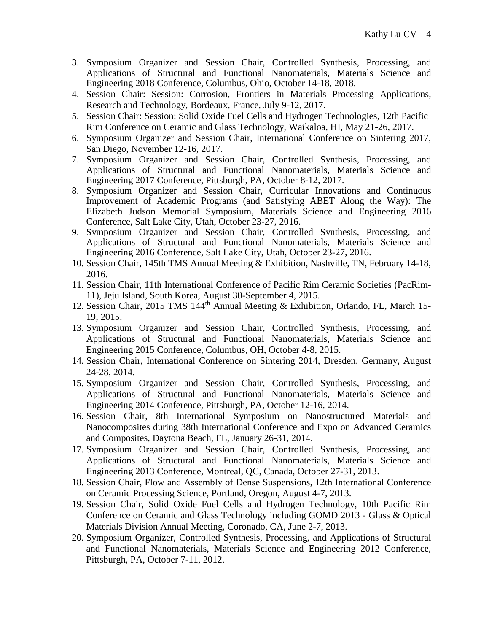- 3. Symposium Organizer and Session Chair, Controlled Synthesis, Processing, and Applications of Structural and Functional Nanomaterials, Materials Science and Engineering 2018 Conference, Columbus, Ohio, October 14-18, 2018.
- 4. Session Chair: Session: Corrosion, Frontiers in Materials Processing Applications, Research and Technology, Bordeaux, France, July 9-12, 2017.
- 5. Session Chair: Session: Solid Oxide Fuel Cells and Hydrogen Technologies, 12th Pacific Rim Conference on Ceramic and Glass Technology, Waikaloa, HI, May 21-26, 2017.
- 6. Symposium Organizer and Session Chair, International Conference on Sintering 2017, San Diego, November 12-16, 2017.
- 7. Symposium Organizer and Session Chair, Controlled Synthesis, Processing, and Applications of Structural and Functional Nanomaterials, Materials Science and Engineering 2017 Conference, Pittsburgh, PA, October 8-12, 2017.
- 8. Symposium Organizer and Session Chair, Curricular Innovations and Continuous Improvement of Academic Programs (and Satisfying ABET Along the Way): The Elizabeth Judson Memorial Symposium, Materials Science and Engineering 2016 Conference, Salt Lake City, Utah, October 23-27, 2016.
- 9. Symposium Organizer and Session Chair, Controlled Synthesis, Processing, and Applications of Structural and Functional Nanomaterials, Materials Science and Engineering 2016 Conference, Salt Lake City, Utah, October 23-27, 2016.
- 10. Session Chair, 145th TMS Annual Meeting & Exhibition, Nashville, TN, February 14-18, 2016.
- 11. Session Chair, 11th International Conference of Pacific Rim Ceramic Societies (PacRim-11), Jeju Island, South Korea, August 30-September 4, 2015.
- 12. Session Chair, 2015 TMS 144th Annual Meeting & Exhibition, Orlando, FL, March 15- 19, 2015.
- 13. Symposium Organizer and Session Chair, Controlled Synthesis, Processing, and Applications of Structural and Functional Nanomaterials, Materials Science and Engineering 2015 Conference, Columbus, OH, October 4-8, 2015.
- 14. Session Chair, International Conference on Sintering 2014, Dresden, Germany, August 24-28, 2014.
- 15. Symposium Organizer and Session Chair, Controlled Synthesis, Processing, and Applications of Structural and Functional Nanomaterials, Materials Science and Engineering 2014 Conference, Pittsburgh, PA, October 12-16, 2014.
- 16. Session Chair, 8th International Symposium on Nanostructured Materials and Nanocomposites during 38th International Conference and Expo on Advanced Ceramics and Composites, Daytona Beach, FL, January 26-31, 2014.
- 17. Symposium Organizer and Session Chair, Controlled Synthesis, Processing, and Applications of Structural and Functional Nanomaterials, Materials Science and Engineering 2013 Conference, Montreal, QC, Canada, October 27-31, 2013.
- 18. Session Chair, Flow and Assembly of Dense Suspensions, 12th International Conference on Ceramic Processing Science, Portland, Oregon, August 4-7, 2013.
- 19. Session Chair, Solid Oxide Fuel Cells and Hydrogen Technology, 10th Pacific Rim Conference on Ceramic and Glass Technology including GOMD 2013 - Glass & Optical Materials Division Annual Meeting, Coronado, CA, June 2-7, 2013.
- 20. Symposium Organizer, Controlled Synthesis, Processing, and Applications of Structural and Functional Nanomaterials, Materials Science and Engineering 2012 Conference, Pittsburgh, PA, October 7-11, 2012.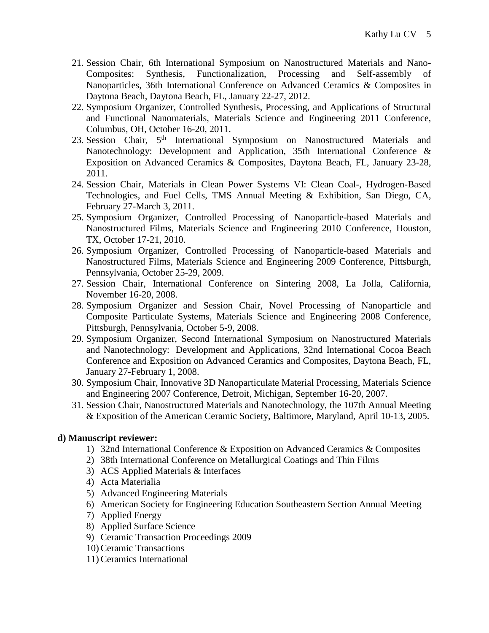- 21. Session Chair, 6th International Symposium on Nanostructured Materials and Nano-Composites: Synthesis, Functionalization, Processing and Self-assembly of Nanoparticles, 36th International Conference on Advanced Ceramics & Composites in Daytona Beach, Daytona Beach, FL, January 22-27, 2012.
- 22. Symposium Organizer, Controlled Synthesis, Processing, and Applications of Structural and Functional Nanomaterials, Materials Science and Engineering 2011 Conference, Columbus, OH, October 16-20, 2011.
- 23. Session Chair, 5<sup>th</sup> International Symposium on Nanostructured Materials and Nanotechnology: Development and Application, 35th International Conference & Exposition on Advanced Ceramics & Composites, Daytona Beach, FL, January 23-28, 2011.
- 24. Session Chair, Materials in Clean Power Systems VI: Clean Coal-, Hydrogen-Based Technologies, and Fuel Cells, TMS Annual Meeting & Exhibition, San Diego, CA, February 27-March 3, 2011.
- 25. Symposium Organizer, Controlled Processing of Nanoparticle-based Materials and Nanostructured Films, Materials Science and Engineering 2010 Conference, Houston, TX, October 17-21, 2010.
- 26. Symposium Organizer, Controlled Processing of Nanoparticle-based Materials and Nanostructured Films, Materials Science and Engineering 2009 Conference, Pittsburgh, Pennsylvania, October 25-29, 2009.
- 27. Session Chair, International Conference on Sintering 2008, La Jolla, California, November 16-20, 2008.
- 28. Symposium Organizer and Session Chair, Novel Processing of Nanoparticle and Composite Particulate Systems, Materials Science and Engineering 2008 Conference, Pittsburgh, Pennsylvania, October 5-9, 2008.
- 29. Symposium Organizer, Second International Symposium on Nanostructured Materials and Nanotechnology: Development and Applications, 32nd International Cocoa Beach Conference and Exposition on Advanced Ceramics and Composites, Daytona Beach, FL, January 27-February 1, 2008.
- 30. Symposium Chair, Innovative 3D Nanoparticulate Material Processing, Materials Science and Engineering 2007 Conference, Detroit, Michigan, September 16-20, 2007.
- 31. Session Chair, Nanostructured Materials and Nanotechnology, the [107th Annual Meeting](http://www.ceramics.org/meetings/am2005/default.asp)  [& Exposition of the American Ceramic Society,](http://www.ceramics.org/meetings/am2005/default.asp) Baltimore, Maryland, April 10-13, 2005.

## **d) Manuscript reviewer:**

- 1) 32nd International Conference & Exposition on Advanced Ceramics & Composites
- 2) 38th International Conference on Metallurgical Coatings and Thin Films
- 3) ACS Applied Materials & Interfaces
- 4) Acta Materialia
- 5) Advanced Engineering Materials
- 6) American Society for Engineering Education Southeastern Section Annual Meeting
- 7) Applied Energy
- 8) Applied Surface Science
- 9) Ceramic Transaction Proceedings 2009
- 10) Ceramic Transactions
- 11) Ceramics International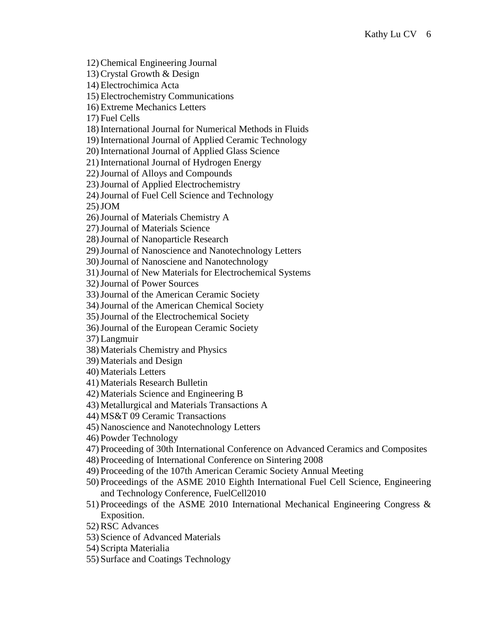12) Chemical Engineering Journal 13) Crystal Growth & Design

14) Electrochimica Acta

15) Electrochemistry Communications

16) Extreme Mechanics Letters

17) Fuel Cells

18) International Journal for Numerical Methods in Fluids

19) International Journal of Applied Ceramic Technology

20) International Journal of Applied Glass Science

21) International Journal of Hydrogen Energy

22)Journal of Alloys and Compounds

23)Journal of Applied Electrochemistry

24)Journal of Fuel Cell Science and Technology

25)JOM

26)Journal of Materials Chemistry A

27)Journal of Materials Science

28)Journal of Nanoparticle Research

29)Journal of Nanoscience and Nanotechnology Letters

30)Journal of Nanosciene and Nanotechnology

31)Journal of New Materials for Electrochemical Systems

32)Journal of Power Sources

33)Journal of the American Ceramic Society

34)Journal of the American Chemical Society

35)Journal of the Electrochemical Society

36)Journal of the European Ceramic Society

37) Langmuir

38) Materials Chemistry and Physics

39) Materials and Design

40) Materials Letters

41) Materials Research Bulletin

42) Materials Science and Engineering B

43) Metallurgical and Materials Transactions A

44) MS&T 09 Ceramic Transactions

45) Nanoscience and Nanotechnology Letters

46) Powder Technology

47) Proceeding of 30th International Conference on Advanced Ceramics and Composites

48) Proceeding of International Conference on Sintering 2008

49) Proceeding of the 107th American Ceramic Society Annual Meeting

50) Proceedings of the ASME 2010 Eighth International Fuel Cell Science, Engineering and Technology Conference, FuelCell2010

51) Proceedings of the ASME 2010 International Mechanical Engineering Congress & Exposition.

52) RSC Advances

53) Science of Advanced Materials

54) Scripta Materialia

55) Surface and Coatings Technology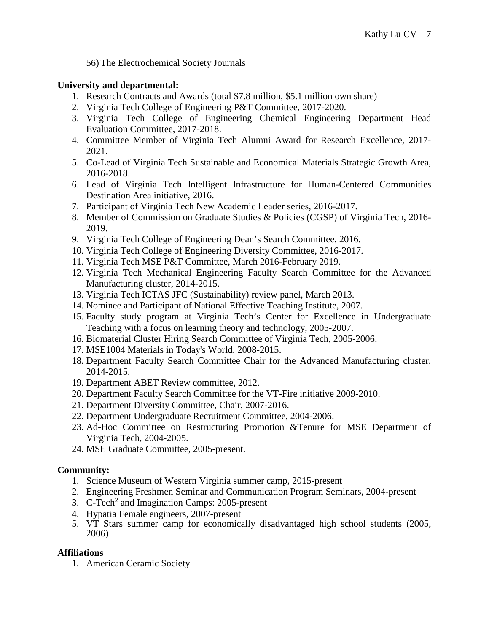56) The Electrochemical Society Journals

## **University and departmental:**

- 1. Research Contracts and Awards (total \$7.8 million, \$5.1 million own share)
- 2. Virginia Tech College of Engineering P&T Committee, 2017-2020.
- 3. Virginia Tech College of Engineering Chemical Engineering Department Head Evaluation Committee, 2017-2018.
- 4. Committee Member of Virginia Tech Alumni Award for Research Excellence, 2017- 2021.
- 5. Co-Lead of Virginia Tech Sustainable and Economical Materials Strategic Growth Area, 2016-2018.
- 6. Lead of Virginia Tech Intelligent Infrastructure for Human-Centered Communities Destination Area initiative, 2016.
- 7. Participant of Virginia Tech New Academic Leader series, 2016-2017.
- 8. Member of Commission on Graduate Studies & Policies (CGSP) of Virginia Tech, 2016- 2019.
- 9. Virginia Tech College of Engineering Dean's Search Committee, 2016.
- 10. Virginia Tech College of Engineering Diversity Committee, 2016-2017.
- 11. Virginia Tech MSE P&T Committee, March 2016-February 2019.
- 12. Virginia Tech Mechanical Engineering Faculty Search Committee for the Advanced Manufacturing cluster, 2014-2015.
- 13. Virginia Tech ICTAS JFC (Sustainability) review panel, March 2013.
- 14. Nominee and Participant of National Effective Teaching Institute, 2007.
- 15. Faculty study program at Virginia Tech's Center for Excellence in Undergraduate Teaching with a focus on learning theory and technology, 2005-2007.
- 16. Biomaterial Cluster Hiring Search Committee of Virginia Tech, 2005-2006.
- 17. MSE1004 Materials in Today's World, 2008-2015.
- 18. Department Faculty Search Committee Chair for the Advanced Manufacturing cluster, 2014-2015.
- 19. Department ABET Review committee, 2012.
- 20. Department Faculty Search Committee for the VT-Fire initiative 2009-2010.
- 21. Department Diversity Committee, Chair, 2007-2016.
- 22. Department Undergraduate Recruitment Committee, 2004-2006.
- 23. Ad-Hoc Committee on Restructuring Promotion &Tenure for MSE Department of Virginia Tech, 2004-2005.
- 24. MSE Graduate Committee, 2005-present.

# **Community:**

- 1. Science Museum of Western Virginia summer camp, 2015-present
- 2. Engineering Freshmen Seminar and Communication Program Seminars, 2004-present
- 3. C-Tech<sup>2</sup> and Imagination Camps: 2005-present
- 4. Hypatia Female engineers, 2007-present
- 5. VT Stars summer camp for economically disadvantaged high school students (2005, 2006)

# **Affiliations**

1. American Ceramic Society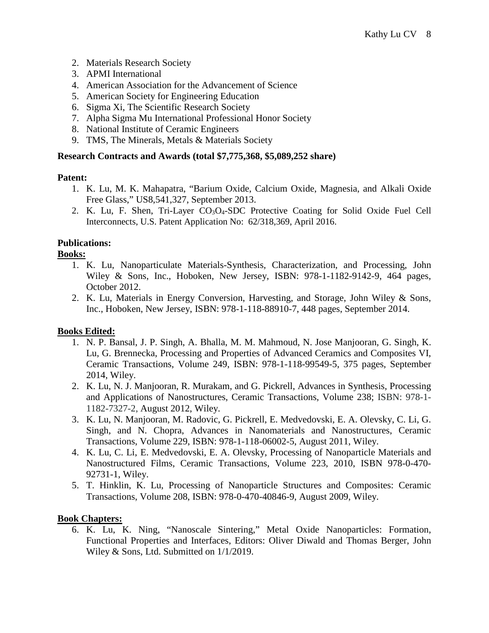- 2. Materials Research Society
- 3. APMI International
- 4. American Association for the Advancement of Science
- 5. American Society for Engineering Education
- 6. Sigma Xi, The Scientific Research Society
- 7. Alpha Sigma Mu International Professional Honor Society
- 8. National Institute of Ceramic Engineers
- 9. TMS, The Minerals, Metals & Materials Society

#### **Research Contracts and Awards (total \$7,775,368, \$5,089,252 share)**

#### **Patent:**

- 1. K. Lu, M. K. Mahapatra, "Barium Oxide, Calcium Oxide, Magnesia, and Alkali Oxide Free Glass," US8,541,327, September 2013.
- 2. K. Lu, F. Shen, Tri-Layer CO<sub>3</sub>O<sub>4</sub>-SDC Protective Coating for Solid Oxide Fuel Cell Interconnects, U.S. Patent Application No: 62/318,369, April 2016.

### **Publications:**

### **Books:**

- 1. K. Lu, Nanoparticulate Materials-Synthesis, Characterization, and Processing, John Wiley & Sons, Inc., Hoboken, New Jersey, ISBN: 978-1-1182-9142-9, 464 pages, October 2012.
- 2. K. Lu, Materials in Energy Conversion, Harvesting, and Storage, John Wiley & Sons, Inc., Hoboken, New Jersey, ISBN: 978-1-118-88910-7, 448 pages, September 2014.

## **Books Edited:**

- 1. N. P. Bansal, J. P. Singh, A. Bhalla, M. M. Mahmoud, N. Jose Manjooran, G. Singh, K. Lu, G. Brennecka, Processing and Properties of Advanced Ceramics and Composites VI, Ceramic Transactions, Volume 249, ISBN: 978-1-118-99549-5, 375 pages, September 2014, Wiley.
- 2. K. Lu, N. J. Manjooran, R. Murakam, and G. Pickrell, Advances in Synthesis, Processing and Applications of Nanostructures, Ceramic Transactions, Volume 238; ISBN: 978-1- 1182-7327-2, August 2012, Wiley.
- 3. K. Lu, N. Manjooran, M. Radovic, G. Pickrell, E. Medvedovski, E. A. Olevsky, C. Li, G. Singh, and N. Chopra, Advances in Nanomaterials and Nanostructures, Ceramic Transactions, Volume 229, ISBN: 978-1-118-06002-5, August 2011, Wiley.
- 4. K. Lu, C. Li, E. Medvedovski, E. A. Olevsky, Processing of Nanoparticle Materials and Nanostructured Films, Ceramic Transactions, Volume 223, 2010, ISBN 978-0-470- 92731-1, Wiley.
- 5. T. Hinklin, K. Lu, Processing of Nanoparticle Structures and Composites: Ceramic Transactions, Volume 208, ISBN: 978-0-470-40846-9, August 2009, Wiley.

#### **Book Chapters:**

6. K. Lu, K. Ning, "Nanoscale Sintering," Metal Oxide Nanoparticles: Formation, Functional Properties and Interfaces, Editors: Oliver Diwald and Thomas Berger, John Wiley & Sons, Ltd. Submitted on 1/1/2019.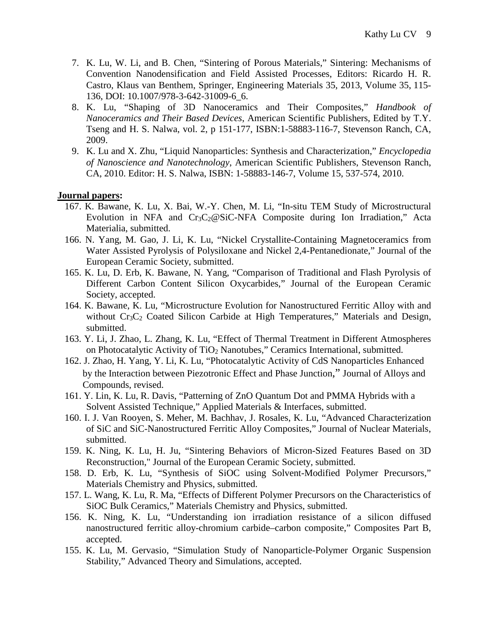- 7. K. Lu, W. Li, and B. Chen, "Sintering of Porous Materials," Sintering: Mechanisms of Convention Nanodensification and Field Assisted Processes, Editors: Ricardo H. R. Castro, Klaus van Benthem, Springer, Engineering Materials 35, 2013, Volume 35, 115- 136, DOI: 10.1007/978-3-642-31009-6\_6.
- 8. K. Lu, "Shaping of 3D Nanoceramics and Their Composites," *Handbook of Nanoceramics and Their Based Devices*, American Scientific Publishers, Edited by T.Y. Tseng and H. S. Nalwa, vol. 2, p 151-177, ISBN:1-58883-116-7, Stevenson Ranch, CA, 2009.
- 9. K. Lu and X. Zhu, "Liquid Nanoparticles: Synthesis and Characterization," *Encyclopedia of Nanoscience and Nanotechnology*, American Scientific Publishers, Stevenson Ranch, CA, 2010. Editor: H. S. Nalwa, ISBN: 1-58883-146-7, Volume 15, 537-574, 2010.

#### **Journal papers:**

- 167. K. Bawane, K. Lu, X. Bai, W.-Y. Chen, M. Li, "In-situ TEM Study of Microstructural Evolution in NFA and  $Cr_3C_2@SiC-NFA$  Composite during Ion Irradiation," Acta Materialia, submitted.
- 166. N. Yang, M. Gao, J. Li, K. Lu, "Nickel Crystallite-Containing Magnetoceramics from Water Assisted Pyrolysis of Polysiloxane and Nickel 2,4-Pentanedionate," Journal of the European Ceramic Society, submitted.
- 165. K. Lu, D. Erb, K. Bawane, N. Yang, "Comparison of Traditional and Flash Pyrolysis of Different Carbon Content Silicon Oxycarbides," Journal of the European Ceramic Society, accepted.
- 164. K. Bawane, K. Lu, "Microstructure Evolution for Nanostructured Ferritic Alloy with and without  $Cr_3C_2$  Coated Silicon Carbide at High Temperatures," Materials and Design, submitted.
- 163. Y. Li, J. Zhao, L. Zhang, K. Lu, "Effect of Thermal Treatment in Different Atmospheres on Photocatalytic Activity of TiO<sub>2</sub> Nanotubes," Ceramics International, submitted.
- 162. J. Zhao, H. Yang, Y. Li, K. Lu, "Photocatalytic Activity of CdS Nanoparticles Enhanced by the Interaction between Piezotronic Effect and Phase Junction," Journal of Alloys and Compounds, revised.
- 161. Y. Lin, K. Lu, R. Davis, "Patterning of ZnO Quantum Dot and PMMA Hybrids with a Solvent Assisted Technique," Applied Materials & Interfaces, submitted.
- 160. I. J. Van Rooyen, S. Meher, M. Bachhav, J. Rosales, K. Lu, "Advanced Characterization of SiC and SiC-Nanostructured Ferritic Alloy Composites," Journal of Nuclear Materials, submitted.
- 159. K. Ning, K. Lu, H. Ju, "Sintering Behaviors of Micron-Sized Features Based on 3D Reconstruction," Journal of the European Ceramic Society, submitted.
- 158. D. Erb, K. Lu, "Synthesis of SiOC using Solvent-Modified Polymer Precursors," Materials Chemistry and Physics, submitted.
- 157. L. Wang, K. Lu, R. Ma, "Effects of Different Polymer Precursors on the Characteristics of SiOC Bulk Ceramics," Materials Chemistry and Physics, submitted.
- 156. K. Ning, K. Lu, "Understanding ion irradiation resistance of a silicon diffused nanostructured ferritic alloy-chromium carbide–carbon composite," Composites Part B, accepted.
- 155. K. Lu, M. Gervasio, "Simulation Study of Nanoparticle-Polymer Organic Suspension Stability," Advanced Theory and Simulations, accepted.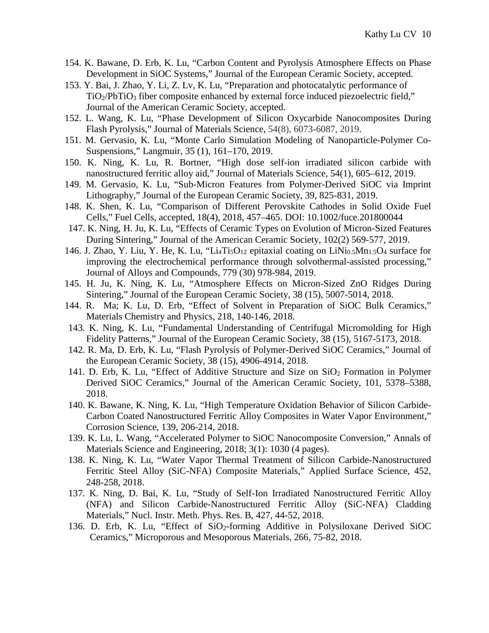- 154. K. Bawane, D. Erb, K. Lu, "Carbon Content and Pyrolysis Atmosphere Effects on Phase Development in SiOC Systems," Journal of the European Ceramic Society, accepted.
- 153. Y. Bai, J. Zhao, Y. Li, Z. Lv, K. Lu, "Preparation and photocatalytic performance of  $TiO<sub>2</sub>/PbTiO<sub>3</sub>$  fiber composite enhanced by external force induced piezoelectric field," Journal of the American Ceramic Society, accepted.
- 152. L. Wang, K. Lu, "Phase Development of Silicon Oxycarbide Nanocomposites During Flash Pyrolysis," Journal of Materials Science, 54(8), 6073-6087, 2019.
- 151. M. Gervasio, K. Lu, "Monte Carlo Simulation Modeling of Nanoparticle-Polymer Co-Suspensions," Langmuir, 35 (1), 161–170, 2019.
- 150. K. Ning, K. Lu, R. Bortner, "High dose self-ion irradiated silicon carbide with nanostructured ferritic alloy aid," Journal of Materials Science, 54(1), 605–612, 2019.
- 149. M. Gervasio, K. Lu, "Sub-Micron Features from Polymer-Derived SiOC via Imprint Lithography," Journal of the European Ceramic Society, 39, 825-831, 2019.
- 148. K. Shen, K. Lu, "Comparison of Different Perovskite Cathodes in Solid Oxide Fuel Cells," Fuel Cells, accepted, 18(4), 2018, 457–465. DOI: 10.1002/fuce.201800044
- 147. K. Ning, H. Ju, K. Lu, "Effects of Ceramic Types on Evolution of Micron-Sized Features During Sintering," Journal of the American Ceramic Society, 102(2) 569-577, 2019.
- 146. J. Zhao, Y. Liu, Y. He, K. Lu, "Li<sub>4</sub>Ti<sub>5</sub>O<sub>12</sub> epitaxial coating on LiNi<sub>0.5</sub>Mn<sub>1.5</sub>O<sub>4</sub> surface for improving the electrochemical performance through solvothermal-assisted processing," Journal of Alloys and Compounds, 779 (30) 978-984, 2019.
- 145. H. Ju, K. Ning, K. Lu, "Atmosphere Effects on Micron-Sized ZnO Ridges During Sintering," Journal of the European Ceramic Society, 38 (15), 5007-5014, 2018.
- 144. R. Ma; K. Lu, D. Erb, "Effect of Solvent in Preparation of SiOC Bulk Ceramics," Materials Chemistry and Physics, 218, 140-146, 2018.
- 143. K. Ning, K. Lu, "Fundamental Understanding of Centrifugal Micromolding for High Fidelity Patterns," Journal of the European Ceramic Society, 38 (15), 5167-5173, 2018.
- 142. R. Ma, D. Erb, K. Lu, "Flash Pyrolysis of Polymer-Derived SiOC Ceramics," Journal of the European Ceramic Society, 38 (15), 4906-4914, 2018.
- 141. D. Erb, K. Lu, "Effect of Additive Structure and Size on  $SiO<sub>2</sub>$  Formation in Polymer Derived SiOC Ceramics," Journal of the American Ceramic Society, 101, 5378–5388, 2018.
- 140. K. Bawane, K. Ning, K. Lu, "High Temperature Oxidation Behavior of Silicon Carbide-Carbon Coated Nanostructured Ferritic Alloy Composites in Water Vapor Environment," Corrosion Science, 139, 206-214, 2018.
- 139. K. Lu, L. Wang, "Accelerated Polymer to SiOC Nanocomposite Conversion," Annals of Materials Science and Engineering, 2018; 3(1): 1030 (4 pages).
- 138. K. Ning, K. Lu, "Water Vapor Thermal Treatment of Silicon Carbide-Nanostructured Ferritic Steel Alloy (SiC-NFA) Composite Materials," Applied Surface Science, 452, 248-258, 2018.
- 137. K. Ning, D. Bai, K. Lu, "Study of Self-Ion Irradiated Nanostructured Ferritic Alloy (NFA) and Silicon Carbide-Nanostructured Ferritic Alloy (SiC-NFA) Cladding Materials," Nucl. Instr. Meth. Phys. Res. B, 427, 44-52, 2018.
- 136. D. Erb, K. Lu, "Effect of SiO2-forming Additive in Polysiloxane Derived SiOC Ceramics," Microporous and Mesoporous Materials, 266, 75-82, 2018.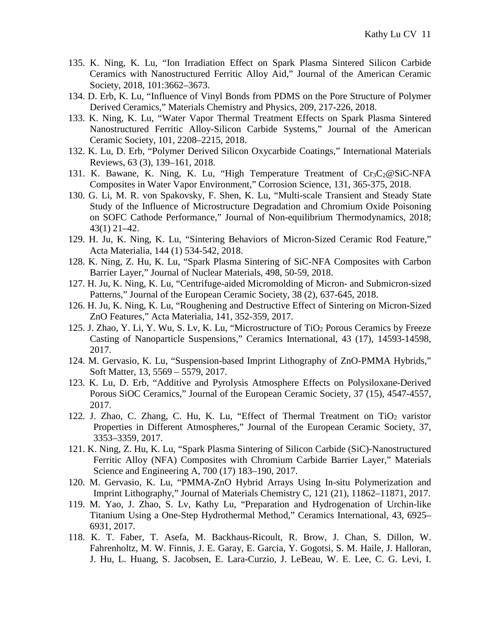- 135. K. Ning, K. Lu, "Ion Irradiation Effect on Spark Plasma Sintered Silicon Carbide Ceramics with Nanostructured Ferritic Alloy Aid," Journal of the American Ceramic Society, 2018, 101:3662–3673.
- 134. D. Erb, K. Lu, "Influence of Vinyl Bonds from PDMS on the Pore Structure of Polymer Derived Ceramics," Materials Chemistry and Physics, 209, 217-226, 2018.
- 133. K. Ning, K. Lu, "Water Vapor Thermal Treatment Effects on Spark Plasma Sintered Nanostructured Ferritic Alloy-Silicon Carbide Systems," Journal of the American Ceramic Society, 101, 2208–2215, 2018.
- 132. K. Lu, D. Erb, "Polymer Derived Silicon Oxycarbide Coatings," International Materials Reviews, 63 (3), 139–161, 2018.
- 131. K. Bawane, K. Ning, K. Lu, "High Temperature Treatment of  $Cr_3C_2@SiC-NFA$ Composites in Water Vapor Environment," Corrosion Science, 131, 365-375, 2018.
- 130. G. Li, M. R. von Spakovsky, F. Shen, K. Lu, "Multi-scale Transient and Steady State Study of the Influence of Microstructure Degradation and Chromium Oxide Poisoning on SOFC Cathode Performance," Journal of Non-equilibrium Thermodynamics, 2018; 43(1) 21–42.
- 129. H. Ju, K. Ning, K. Lu, "Sintering Behaviors of Micron-Sized Ceramic Rod Feature," Acta Materialia, 144 (1) 534-542, 2018.
- 128. K. Ning, Z. Hu, K. Lu, "Spark Plasma Sintering of SiC-NFA Composites with Carbon Barrier Layer," Journal of Nuclear Materials, 498, 50-59, 2018.
- 127. H. Ju, K. Ning, K. Lu, "Centrifuge-aided Micromolding of Micron- and Submicron-sized Patterns," Journal of the European Ceramic Society, 38 (2), 637-645, 2018.
- 126. H. Ju, K. Ning, K. Lu, "Roughening and Destructive Effect of Sintering on Micron-Sized ZnO Features," Acta Materialia, 141, 352-359, 2017.
- 125. J. Zhao, Y. Li, Y. Wu, S. Lv, K. Lu, "Microstructure of TiO<sub>2</sub> Porous Ceramics by Freeze Casting of Nanoparticle Suspensions," Ceramics International, 43 (17), 14593-14598, 2017.
- 124. M. Gervasio, K. Lu, "Suspension-based Imprint Lithography of ZnO-PMMA Hybrids," Soft Matter, 13, 5569 – 5579, 2017.
- 123. K. Lu, D. Erb, "Additive and Pyrolysis Atmosphere Effects on Polysiloxane-Derived Porous SiOC Ceramics," Journal of the European Ceramic Society, 37 (15), 4547-4557, 2017.
- 122. J. Zhao, C. Zhang, C. Hu, K. Lu, "Effect of Thermal Treatment on  $TiO<sub>2</sub>$  varistor Properties in Different Atmospheres," Journal of the European Ceramic Society, 37, 3353–3359, 2017.
- 121. K. Ning, Z. Hu, K. Lu, "Spark Plasma Sintering of Silicon Carbide (SiC)-Nanostructured Ferritic Alloy (NFA) Composites with Chromium Carbide Barrier Layer," Materials Science and Engineering A, 700 (17) 183–190, 2017.
- 120. M. Gervasio, K. Lu, "PMMA-ZnO Hybrid Arrays Using In-situ Polymerization and Imprint Lithography," Journal of Materials Chemistry C, 121 (21), 11862–11871, 2017.
- 119. M. Yao, J. Zhao, S. Lv, Kathy Lu, "Preparation and Hydrogenation of Urchin-like Titanium Using a One-Step Hydrothermal Method," Ceramics International, 43, 6925– 6931, 2017.
- 118. K. T. Faber, T. Asefa, M. Backhaus-Ricoult, R. Brow, J. Chan, S. Dillon, W. Fahrenholtz, M. W. Finnis, J. E. Garay, E. Garcia, Y. Gogotsi, S. M. Haile, J. Halloran, J. Hu, L. Huang, S. Jacobsen, E. Lara-Curzio, J. LeBeau, W. E. Lee, C. G. Levi, I.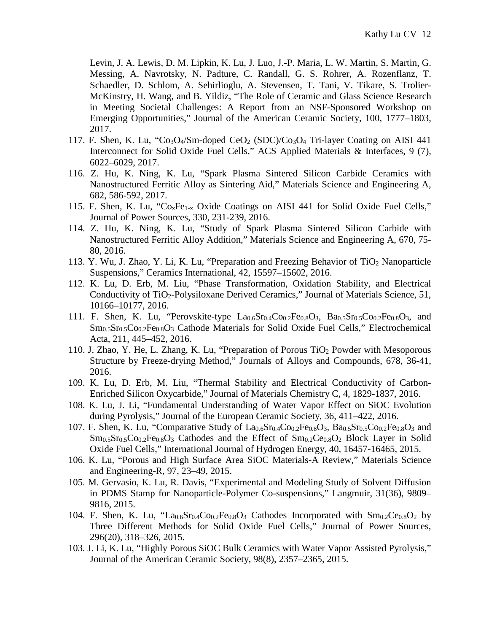Levin, J. A. Lewis, D. M. Lipkin, K. Lu, J. Luo, J.-P. Maria, L. W. Martin, S. Martin, G. Messing, A. Navrotsky, N. Padture, C. Randall, G. S. Rohrer, A. Rozenflanz, T. Schaedler, D. Schlom, A. Sehirlioglu, A. Stevensen, T. Tani, V. Tikare, S. Trolier-McKinstry, H. Wang, and B. Yildiz, "The Role of Ceramic and Glass Science Research in Meeting Societal Challenges: A Report from an NSF-Sponsored Workshop on Emerging Opportunities," Journal of the American Ceramic Society, 100, 1777–1803, 2017.

- 117. F. Shen, K. Lu, "Co<sub>3</sub>O<sub>4</sub>/Sm-doped CeO<sub>2</sub> (SDC)/Co<sub>3</sub>O<sub>4</sub> Tri-layer Coating on AISI 441 Interconnect for Solid Oxide Fuel Cells," ACS Applied Materials & Interfaces, 9 (7), 6022–6029, 2017.
- 116. Z. Hu, K. Ning, K. Lu, "Spark Plasma Sintered Silicon Carbide Ceramics with Nanostructured Ferritic Alloy as Sintering Aid," Materials Science and Engineering A, 682, 586-592, 2017.
- 115. F. Shen, K. Lu, "CoxFe1-x Oxide Coatings on AISI 441 for Solid Oxide Fuel Cells," Journal of Power Sources, 330, 231-239, 2016.
- 114. Z. Hu, K. Ning, K. Lu, "Study of Spark Plasma Sintered Silicon Carbide with Nanostructured Ferritic Alloy Addition," Materials Science and Engineering A, 670, 75- 80, 2016.
- 113. Y. Wu, J. Zhao, Y. Li, K. Lu, "Preparation and Freezing Behavior of  $TiO<sub>2</sub>$  Nanoparticle Suspensions," Ceramics International, 42, 15597–15602, 2016.
- 112. K. Lu, D. Erb, M. Liu, "Phase Transformation, Oxidation Stability, and Electrical Conductivity of TiO2-Polysiloxane Derived Ceramics," Journal of Materials Science, 51, 10166–10177, 2016.
- 111. F. Shen, K. Lu, "Perovskite-type  $La_{0.6}Sr_{0.4}Co_{0.2}Fe_{0.8}O_3$ ,  $Ba_{0.5}Sr_{0.5}Co_{0.2}Fe_{0.8}O_3$ , and  $Sm<sub>0.5</sub>Sr<sub>0.5</sub>Co<sub>0.2</sub>Fe<sub>0.8</sub>O<sub>3</sub>$  Cathode Materials for Solid Oxide Fuel Cells," Electrochemical Acta, 211, 445–452, 2016.
- 110. J. Zhao, Y. He, L. Zhang, K. Lu, "Preparation of Porous TiO2 Powder with Mesoporous Structure by Freeze-drying Method," Journals of Alloys and Compounds, 678, 36-41, 2016.
- 109. K. Lu, D. Erb, M. Liu, "Thermal Stability and Electrical Conductivity of Carbon-Enriched Silicon Oxycarbide," Journal of Materials Chemistry C, 4, 1829-1837, 2016.
- 108. K. Lu, J. Li, "Fundamental Understanding of Water Vapor Effect on SiOC Evolution during Pyrolysis," Journal of the European Ceramic Society, 36, 411–422, 2016.
- 107. F. Shen, K. Lu, "Comparative Study of  $La_{0.6}Sr_{0.4}Co_{0.2}Fe_{0.8}O_3$ ,  $Ba_{0.5}Sr_{0.5}Co_{0.2}Fe_{0.8}O_3$  and  $\text{Sm}_{0.5}\text{Sr}_{0.5}\text{Co}_{0.2}\text{Fe}_{0.8}\text{O}_3$  Cathodes and the Effect of  $\text{Sm}_{0.2}\text{Ce}_{0.8}\text{O}_2$  Block Layer in Solid Oxide Fuel Cells," International Journal of Hydrogen Energy, 40, 16457-16465, 2015.
- 106. K. Lu, "Porous and High Surface Area SiOC Materials-A Review," Materials Science and Engineering-R, 97, 23–49, 2015.
- 105. M. Gervasio, K. Lu, R. Davis, "Experimental and Modeling Study of Solvent Diffusion in PDMS Stamp for Nanoparticle-Polymer Co-suspensions," Langmuir, 31(36), 9809– 9816, 2015.
- 104. F. Shen, K. Lu, "La<sub>0.6</sub>Sr<sub>0.4</sub>Co<sub>0.2</sub>Fe<sub>0.8</sub>O<sub>3</sub> Cathodes Incorporated with  $\text{Sm}_{0.2}$ Ce<sub>0.8</sub>O<sub>2</sub> by Three Different Methods for Solid Oxide Fuel Cells," Journal of Power Sources, 296(20), 318–326, 2015.
- 103. J. Li, K. Lu, "Highly Porous SiOC Bulk Ceramics with Water Vapor Assisted Pyrolysis," Journal of the American Ceramic Society, 98(8), 2357–2365, 2015.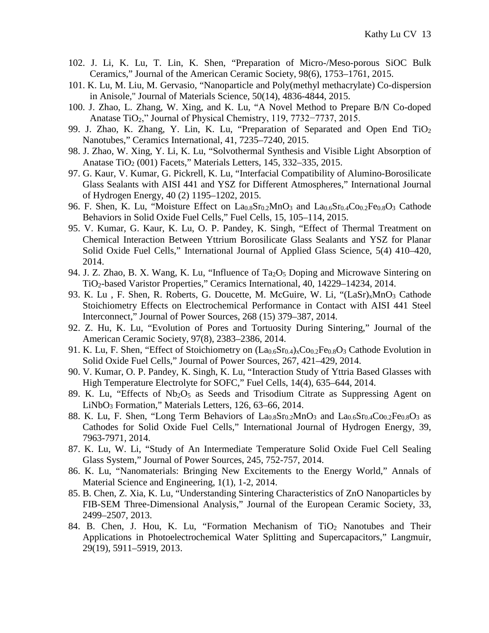- 102. J. Li, K. Lu, T. Lin, K. Shen, "Preparation of Micro-/Meso-porous SiOC Bulk Ceramics," Journal of the American Ceramic Society, 98(6), 1753–1761, 2015.
- 101. K. Lu, M. Liu, M. Gervasio, "Nanoparticle and Poly(methyl methacrylate) Co-dispersion in Anisole," Journal of Materials Science, 50(14), 4836-4844, 2015.
- 100. J. Zhao, L. Zhang, W. Xing, and K. Lu, "A Novel Method to Prepare B/N Co-doped Anatase TiO2," Journal of Physical Chemistry, 119, 7732−7737, 2015.
- 99. J. Zhao, K. Zhang, Y. Lin, K. Lu, "Preparation of Separated and Open End TiO2 Nanotubes," Ceramics International, 41, 7235–7240, 2015.
- 98. J. Zhao, W. Xing, Y. Li, K. Lu, "Solvothermal Synthesis and Visible Light Absorption of Anatase TiO2 (001) Facets," Materials Letters, 145, 332–335, 2015.
- 97. G. Kaur, V. Kumar, G. Pickrell, K. Lu, "Interfacial Compatibility of Alumino-Borosilicate Glass Sealants with AISI 441 and YSZ for Different Atmospheres," International Journal of Hydrogen Energy, 40 (2) 1195–1202, 2015.
- 96. F. Shen, K. Lu, "Moisture Effect on  $La<sub>0.8</sub>Sr<sub>0.2</sub>MnO<sub>3</sub>$  and  $La<sub>0.6</sub>Sr<sub>0.4</sub>Co<sub>0.2</sub>Fe<sub>0.8</sub>O<sub>3</sub>$  Cathode Behaviors in Solid Oxide Fuel Cells," Fuel Cells, 15, 105–114, 2015.
- 95. V. Kumar, G. Kaur, K. Lu, O. P. Pandey, K. Singh, "Effect of Thermal Treatment on Chemical Interaction Between Yttrium Borosilicate Glass Sealants and YSZ for Planar Solid Oxide Fuel Cells," International Journal of Applied Glass Science, 5(4) 410–420, 2014.
- 94. J. Z. Zhao, B. X. Wang, K. Lu, "Influence of Ta<sub>2</sub>O<sub>5</sub> Doping and Microwave Sintering on TiO2-based Varistor Properties," Ceramics International, 40, 14229–14234, 2014.
- 93. K. Lu, F. Shen, R. Roberts, G. Doucette, M. McGuire, W. Li, "(LaSr)<sub>x</sub>MnO<sub>3</sub> Cathode Stoichiometry Effects on Electrochemical Performance in Contact with AISI 441 Steel Interconnect," Journal of Power Sources, 268 (15) 379–387, 2014.
- 92. Z. Hu, K. Lu, "Evolution of Pores and Tortuosity During Sintering," Journal of the American Ceramic Society, 97(8), 2383–2386, 2014.
- 91. K. Lu, F. Shen, "Effect of Stoichiometry on  $(L_{0.6}Sr_{0.4})_xCo_{0.2}Fe_{0.8}O_3$  Cathode Evolution in Solid Oxide Fuel Cells," Journal of Power Sources, 267, 421–429, 2014.
- 90. V. Kumar, O. P. Pandey, K. Singh, K. Lu, "Interaction Study of Yttria Based Glasses with High Temperature Electrolyte for SOFC," Fuel Cells, 14(4), 635–644, 2014.
- 89. K. Lu, "Effects of  $Nb_2O_5$  as Seeds and Trisodium Citrate as Suppressing Agent on LiNbO3 Formation," Materials Letters, 126, 63–66, 2014.
- 88. K. Lu, F. Shen, "Long Term Behaviors of  $La<sub>0.8</sub>Sr<sub>0.2</sub>MnO<sub>3</sub>$  and  $La<sub>0.6</sub>Sr<sub>0.4</sub>Co<sub>0.2</sub>Fe<sub>0.8</sub>O<sub>3</sub>$  as Cathodes for Solid Oxide Fuel Cells," International Journal of Hydrogen Energy, 39, 7963-7971, 2014.
- 87. K. Lu, W. Li, "Study of An Intermediate Temperature Solid Oxide Fuel Cell Sealing Glass System," Journal of Power Sources, 245, 752-757, 2014.
- 86. K. Lu, "Nanomaterials: Bringing New Excitements to the Energy World," Annals of Material Science and Engineering, 1(1), 1-2, 2014.
- 85. B. Chen, Z. Xia, K. Lu, "Understanding Sintering Characteristics of ZnO Nanoparticles by FIB-SEM Three-Dimensional Analysis," Journal of the European Ceramic Society, 33, 2499–2507, 2013.
- 84. B. Chen, J. Hou, K. Lu, "Formation Mechanism of  $TiO<sub>2</sub>$  Nanotubes and Their Applications in Photoelectrochemical Water Splitting and Supercapacitors," Langmuir, 29(19), 5911–5919, 2013.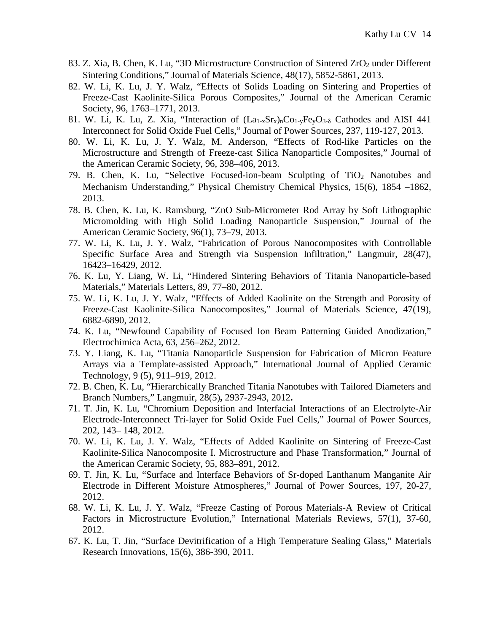- 83. Z. Xia, B. Chen, K. Lu, "3D Microstructure Construction of Sintered ZrO<sub>2</sub> under Different Sintering Conditions," Journal of Materials Science, 48(17), 5852-5861, 2013.
- 82. W. Li, K. Lu, J. Y. Walz, "Effects of Solids Loading on Sintering and Properties of Freeze-Cast Kaolinite-Silica Porous Composites," Journal of the American Ceramic Society, 96, 1763–1771, 2013.
- 81. W. Li, K. Lu, Z. Xia, "Interaction of  $(La_{1-x}Sr_{x})_nCo_{1-y}Fe_{y}O_{3-\delta}$  Cathodes and AISI 441 Interconnect for Solid Oxide Fuel Cells," Journal of Power Sources, 237, 119-127, 2013.
- 80. W. Li, K. Lu, J. Y. Walz, M. Anderson, "Effects of Rod-like Particles on the Microstructure and Strength of Freeze-cast Silica Nanoparticle Composites," Journal of the American Ceramic Society, 96, 398–406, 2013.
- 79. B. Chen, K. Lu, "Selective Focused-ion-beam Sculpting of TiO2 Nanotubes and Mechanism Understanding," Physical Chemistry Chemical Physics, 15(6), 1854 –1862, 2013.
- 78. B. Chen, K. Lu, K. Ramsburg, "ZnO Sub-Micrometer Rod Array by Soft Lithographic Micromolding with High Solid Loading Nanoparticle Suspension," Journal of the American Ceramic Society, 96(1), 73–79, 2013.
- 77. W. Li, K. Lu, J. Y. Walz, "Fabrication of Porous Nanocomposites with Controllable Specific Surface Area and Strength via Suspension Infiltration," Langmuir, 28(47), 16423–16429, 2012.
- 76. K. Lu, Y. Liang, W. Li, "Hindered Sintering Behaviors of Titania Nanoparticle-based Materials," Materials Letters, 89, 77–80, 2012.
- 75. W. Li, K. Lu, J. Y. Walz, "Effects of Added Kaolinite on the Strength and Porosity of Freeze-Cast Kaolinite-Silica Nanocomposites," Journal of Materials Science, 47(19), 6882-6890, 2012.
- 74. K. Lu, "Newfound Capability of Focused Ion Beam Patterning Guided Anodization," Electrochimica Acta, 63, 256–262, 2012.
- 73. Y. Liang, K. Lu, "Titania Nanoparticle Suspension for Fabrication of Micron Feature Arrays via a Template-assisted Approach," International Journal of Applied Ceramic Technology, 9 (5), 911–919, 2012.
- 72. B. Chen, K. Lu, "Hierarchically Branched Titania Nanotubes with Tailored Diameters and Branch Numbers," Langmuir, 28(5)**,** 2937-2943, 2012**.**
- 71. T. Jin, K. Lu, "Chromium Deposition and Interfacial Interactions of an Electrolyte-Air Electrode-Interconnect Tri-layer for Solid Oxide Fuel Cells," Journal of Power Sources, 202, 143– 148, 2012.
- 70. W. Li, K. Lu, J. Y. Walz, "Effects of Added Kaolinite on Sintering of Freeze-Cast Kaolinite-Silica Nanocomposite I. Microstructure and Phase Transformation," Journal of the American Ceramic Society, 95, 883–891, 2012.
- 69. T. Jin, K. Lu, "Surface and Interface Behaviors of Sr-doped Lanthanum Manganite Air Electrode in Different Moisture Atmospheres," Journal of Power Sources, 197, 20-27, 2012.
- 68. W. Li, K. Lu, J. Y. Walz, "Freeze Casting of Porous Materials-A Review of Critical Factors in Microstructure Evolution," International Materials Reviews, 57(1), 37-60, 2012.
- 67. K. Lu, T. Jin, "Surface Devitrification of a High Temperature Sealing Glass," Materials Research Innovations, 15(6), 386-390, 2011.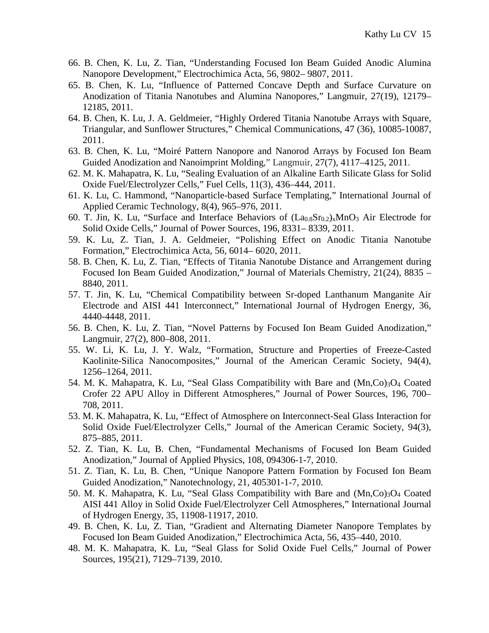- 66. B. Chen, K. Lu, Z. Tian, "Understanding Focused Ion Beam Guided Anodic Alumina Nanopore Development," Electrochimica Acta, 56, 9802– 9807, 2011.
- 65. B. Chen, K. Lu, "Influence of Patterned Concave Depth and Surface Curvature on Anodization of Titania Nanotubes and Alumina Nanopores," Langmuir, 27(19), 12179– 12185, 2011.
- 64. B. Chen, K. Lu, J. A. Geldmeier, "Highly Ordered Titania Nanotube Arrays with Square, Triangular, and Sunflower Structures," Chemical Communications, 47 (36), 10085-10087, 2011.
- 63. B. Chen, K. Lu, "Moiré Pattern Nanopore and Nanorod Arrays by Focused Ion Beam Guided Anodization and Nanoimprint Molding," Langmuir, 27(7), 4117–4125, 2011.
- 62. M. K. Mahapatra, K. Lu, "Sealing Evaluation of an Alkaline Earth Silicate Glass for Solid Oxide Fuel/Electrolyzer Cells," Fuel Cells, 11(3), 436–444, 2011.
- 61. K. Lu, C. Hammond, "Nanoparticle-based Surface Templating," International Journal of Applied Ceramic Technology, 8(4), 965–976, 2011.
- 60. T. Jin, K. Lu, "Surface and Interface Behaviors of  $(La_{0.8}Sr_{0.2})$ <sub>x</sub>MnO<sub>3</sub> Air Electrode for Solid Oxide Cells," Journal of Power Sources, 196, 8331– 8339, 2011.
- 59. K. Lu, Z. Tian, J. A. Geldmeier, "Polishing Effect on Anodic Titania Nanotube Formation," Electrochimica Acta, 56, 6014– 6020, 2011.
- 58. B. Chen, K. Lu, Z. Tian, "Effects of Titania Nanotube Distance and Arrangement during Focused Ion Beam Guided Anodization," Journal of Materials Chemistry, 21(24), 8835 – 8840, 2011.
- 57. T. Jin, K. Lu, "Chemical Compatibility between Sr-doped Lanthanum Manganite Air Electrode and AISI 441 Interconnect," International Journal of Hydrogen Energy, 36, 4440-4448, 2011.
- 56. B. Chen, K. Lu, Z. Tian, "Novel Patterns by Focused Ion Beam Guided Anodization," Langmuir, 27(2), 800–808, 2011.
- 55. W. Li, K. Lu, J. Y. Walz, "Formation, Structure and Properties of Freeze-Casted Kaolinite-Silica Nanocomposites," Journal of the American Ceramic Society, 94(4), 1256–1264, 2011.
- 54. M. K. Mahapatra, K. Lu, "Seal Glass Compatibility with Bare and  $(Mn, Co)_{3}O_{4}$  Coated Crofer 22 APU Alloy in Different Atmospheres," Journal of Power Sources, 196, 700– 708, 2011.
- 53. M. K. Mahapatra, K. Lu, "Effect of Atmosphere on Interconnect-Seal Glass Interaction for Solid Oxide Fuel/Electrolyzer Cells," Journal of the American Ceramic Society, 94(3), 875–885, 2011.
- 52. Z. Tian, K. Lu, B. Chen, "Fundamental Mechanisms of Focused Ion Beam Guided Anodization," Journal of Applied Physics, 108, 094306-1-7, 2010.
- 51. Z. Tian, K. Lu, B. Chen, "Unique Nanopore Pattern Formation by Focused Ion Beam Guided Anodization," Nanotechnology, 21, 405301-1-7, 2010.
- 50. M. K. Mahapatra, K. Lu, "Seal Glass Compatibility with Bare and  $(Mn, Co)_{3}O_{4}$  Coated AISI 441 Alloy in Solid Oxide Fuel/Electrolyzer Cell Atmospheres," International Journal of Hydrogen Energy, 35, 11908-11917, 2010.
- 49. B. Chen, K. Lu, Z. Tian, "Gradient and Alternating Diameter Nanopore Templates by Focused Ion Beam Guided Anodization," Electrochimica Acta, 56, 435–440, 2010.
- 48. M. K. Mahapatra, K. Lu, "Seal Glass for Solid Oxide Fuel Cells," Journal of Power Sources, 195(21), 7129–7139, 2010.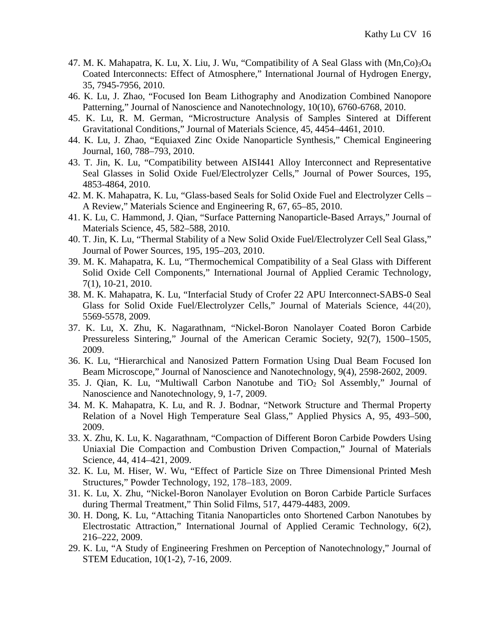- 47. M. K. Mahapatra, K. Lu, X. Liu, J. Wu, "Compatibility of A Seal Glass with (Mn,Co)3O4 Coated Interconnects: Effect of Atmosphere," International Journal of Hydrogen Energy, 35, 7945-7956, 2010.
- 46. K. Lu, J. Zhao, "Focused Ion Beam Lithography and Anodization Combined Nanopore Patterning," Journal of Nanoscience and Nanotechnology, 10(10), 6760-6768, 2010.
- 45. K. Lu, R. M. German, "Microstructure Analysis of Samples Sintered at Different Gravitational Conditions," Journal of Materials Science, 45, 4454–4461, 2010.
- 44. K. Lu, J. Zhao, "Equiaxed Zinc Oxide Nanoparticle Synthesis," Chemical Engineering Journal, 160, 788–793, 2010.
- 43. T. Jin, K. Lu, "Compatibility between AISI441 Alloy Interconnect and Representative Seal Glasses in Solid Oxide Fuel/Electrolyzer Cells," Journal of Power Sources, 195, 4853-4864, 2010.
- 42. M. K. Mahapatra, K. Lu, "Glass-based Seals for Solid Oxide Fuel and Electrolyzer Cells A Review," Materials Science and Engineering R, 67, 65–85, 2010.
- 41. K. Lu, C. Hammond, J. Qian, "Surface Patterning Nanoparticle-Based Arrays," Journal of Materials Science, 45, 582–588, 2010.
- 40. T. Jin, K. Lu, "Thermal Stability of a New Solid Oxide Fuel/Electrolyzer Cell Seal Glass," Journal of Power Sources, 195, 195–203, 2010.
- 39. M. K. Mahapatra, K. Lu, "Thermochemical Compatibility of a Seal Glass with Different Solid Oxide Cell Components," International Journal of Applied Ceramic Technology, 7(1), 10-21, 2010.
- 38. M. K. Mahapatra, K. Lu, "Interfacial Study of Crofer 22 APU Interconnect-SABS-0 Seal Glass for Solid Oxide Fuel/Electrolyzer Cells," Journal of Materials Science, 44(20), 5569-5578, 2009.
- 37. K. Lu, X. Zhu, K. Nagarathnam, "Nickel-Boron Nanolayer Coated Boron Carbide Pressureless Sintering," Journal of the American Ceramic Society, 92(7), 1500–1505, 2009.
- 36. K. Lu, "Hierarchical and Nanosized Pattern Formation Using Dual Beam Focused Ion Beam Microscope," Journal of Nanoscience and Nanotechnology, 9(4), 2598-2602, 2009.
- 35. J. Qian, K. Lu, "Multiwall Carbon Nanotube and TiO<sub>2</sub> Sol Assembly," Journal of Nanoscience and Nanotechnology, 9, 1-7, 2009.
- 34. M. K. Mahapatra, K. Lu, and R. J. Bodnar, "Network Structure and Thermal Property Relation of a Novel High Temperature Seal Glass," Applied Physics A, 95, 493–500, 2009.
- 33. X. Zhu, K. Lu, K. Nagarathnam, "Compaction of Different Boron Carbide Powders Using Uniaxial Die Compaction and Combustion Driven Compaction," Journal of Materials Science, 44, 414–421, 2009.
- 32. K. Lu, M. Hiser, W. Wu, "Effect of Particle Size on Three Dimensional Printed Mesh Structures," Powder Technology, 192, 178–183, 2009.
- 31. K. Lu, X. Zhu, "Nickel-Boron Nanolayer Evolution on Boron Carbide Particle Surfaces during Thermal Treatment," Thin Solid Films, 517, 4479-4483, 2009.
- 30. H. Dong, K. Lu, "Attaching Titania Nanoparticles onto Shortened Carbon Nanotubes by Electrostatic Attraction," International Journal of Applied Ceramic Technology, 6(2), 216–222, 2009.
- 29. K. Lu, "A Study of Engineering Freshmen on Perception of Nanotechnology," Journal of STEM Education, 10(1-2), 7-16, 2009.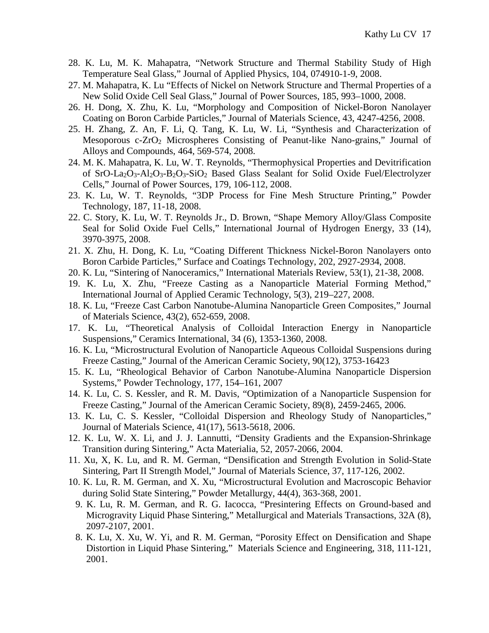- 28. K. Lu, M. K. Mahapatra, "Network Structure and Thermal Stability Study of High Temperature Seal Glass," Journal of Applied Physics, 104, 074910-1-9, 2008.
- 27. M. Mahapatra, K. Lu "Effects of Nickel on Network Structure and Thermal Properties of a New Solid Oxide Cell Seal Glass," Journal of Power Sources, 185, 993–1000, 2008.
- 26. H. Dong, X. Zhu, K. Lu, "Morphology and Composition of Nickel-Boron Nanolayer Coating on Boron Carbide Particles," Journal of Materials Science, 43, 4247-4256, 2008.
- 25. H. Zhang, Z. An, F. Li, Q. Tang, K. Lu, W. Li, "Synthesis and Characterization of Mesoporous  $c$ -ZrO<sub>2</sub> Microspheres Consisting of Peanut-like Nano-grains," Journal of Alloys and Compounds, 464, 569-574, 2008.
- 24. M. K. Mahapatra, K. Lu, W. T. Reynolds, "Thermophysical Properties and Devitrification of SrO-La2O3-Al2O3-B2O3-SiO2 Based Glass Sealant for Solid Oxide Fuel/Electrolyzer Cells," Journal of Power Sources, 179, 106-112, 2008.
- 23. K. Lu, W. T. Reynolds, "3DP Process for Fine Mesh Structure Printing," Powder Technology, 187, 11-18, 2008.
- 22. C. Story, K. Lu, W. T. Reynolds Jr., D. Brown, "Shape Memory Alloy/Glass Composite Seal for Solid Oxide Fuel Cells," International Journal of Hydrogen Energy, 33 (14), 3970-3975, 2008.
- 21. X. Zhu, H. Dong, K. Lu, "Coating Different Thickness Nickel-Boron Nanolayers onto Boron Carbide Particles," Surface and Coatings Technology, 202, 2927-2934, 2008.
- 20. K. Lu, "Sintering of Nanoceramics," International Materials Review, 53(1), 21-38, 2008.
- 19. K. Lu, X. Zhu, "Freeze Casting as a Nanoparticle Material Forming Method," International Journal of Applied Ceramic Technology, 5(3), 219–227, 2008.
- 18. K. Lu, "Freeze Cast Carbon Nanotube-Alumina Nanoparticle Green Composites," Journal of Materials Science, 43(2), 652-659, 2008.
- 17. K. Lu, "Theoretical Analysis of Colloidal Interaction Energy in Nanoparticle Suspensions," Ceramics International, 34 (6), 1353-1360, 2008.
- 16. K. Lu, "Microstructural Evolution of Nanoparticle Aqueous Colloidal Suspensions during Freeze Casting," Journal of the American Ceramic Society, 90(12), 3753-16423
- 15. K. Lu, "Rheological Behavior of Carbon Nanotube-Alumina Nanoparticle Dispersion Systems," Powder Technology, 177, 154–161, 2007
- 14. K. Lu, C. S. Kessler, and R. M. Davis, "Optimization of a Nanoparticle Suspension for Freeze Casting," Journal of the American Ceramic Society, 89(8), 2459-2465, 2006.
- 13. K. Lu, C. S. Kessler, "Colloidal Dispersion and Rheology Study of Nanoparticles," Journal of Materials Science, 41(17), 5613-5618, 2006.
- 12. K. Lu, W. X. Li, and J. J. Lannutti, "Density Gradients and the Expansion-Shrinkage Transition during Sintering," Acta Materialia, 52, 2057-2066, 2004.
- 11. Xu, X, K. Lu, and R. M. German, "Densification and Strength Evolution in Solid-State Sintering, Part II Strength Model," Journal of Materials Science, 37, 117-126, 2002.
- 10. K. Lu, R. M. German, and X. Xu, "Microstructural Evolution and Macroscopic Behavior during Solid State Sintering," Powder Metallurgy, 44(4), 363-368, 2001.
	- 9. K. Lu, R. M. German, and R. G. Iacocca, "Presintering Effects on Ground-based and Microgravity Liquid Phase Sintering," Metallurgical and Materials Transactions, 32A (8), 2097-2107, 2001.
	- 8. K. Lu, X. Xu, W. Yi, and R. M. German, "Porosity Effect on Densification and Shape Distortion in Liquid Phase Sintering," Materials Science and Engineering, 318, 111-121, 2001.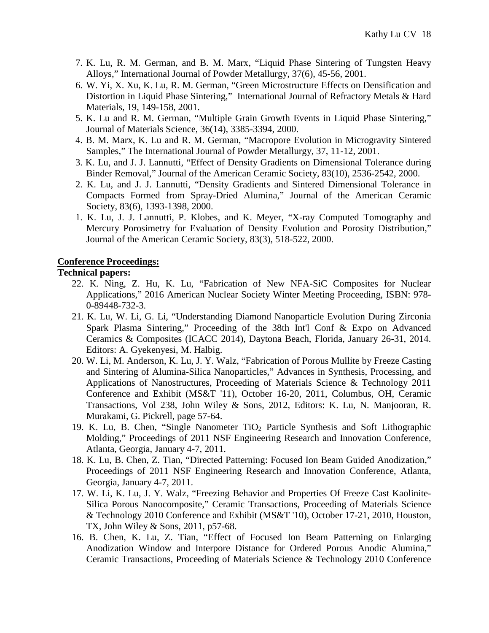- 7. K. Lu, R. M. German, and B. M. Marx, "Liquid Phase Sintering of Tungsten Heavy Alloys," International Journal of Powder Metallurgy, 37(6), 45-56, 2001.
- 6. W. Yi, X. Xu, K. Lu, R. M. German, "Green Microstructure Effects on Densification and Distortion in Liquid Phase Sintering," International Journal of Refractory Metals & Hard Materials, 19, 149-158, 2001.
- 5. K. Lu and R. M. German, "Multiple Grain Growth Events in Liquid Phase Sintering," Journal of Materials Science, 36(14), 3385-3394, 2000.
- 4. B. M. Marx, K. Lu and R. M. German, "Macropore Evolution in Microgravity Sintered Samples," The International Journal of Powder Metallurgy, 37, 11-12, 2001.
- 3. K. Lu, and J. J. Lannutti, "Effect of Density Gradients on Dimensional Tolerance during Binder Removal," Journal of the American Ceramic Society, 83(10), 2536-2542, 2000.
- 2. K. Lu, and J. J. Lannutti, "Density Gradients and Sintered Dimensional Tolerance in Compacts Formed from Spray-Dried Alumina," Journal of the American Ceramic Society, 83(6), 1393-1398, 2000.
- 1. K. Lu, J. J. Lannutti, P. Klobes, and K. Meyer, "X-ray Computed Tomography and Mercury Porosimetry for Evaluation of Density Evolution and Porosity Distribution," Journal of the American Ceramic Society, 83(3), 518-522, 2000.

## **Conference Proceedings:**

### **Technical papers:**

- 22. K. Ning, Z. Hu, K. Lu, "Fabrication of New NFA-SiC Composites for Nuclear Applications," 2016 American Nuclear Society Winter Meeting Proceeding, ISBN: 978- 0-89448-732-3.
- 21. K. Lu, W. Li, G. Li, "Understanding Diamond Nanoparticle Evolution During Zirconia Spark Plasma Sintering," Proceeding of the 38th Int'l Conf & Expo on Advanced Ceramics & Composites (ICACC 2014), Daytona Beach, Florida, January 26-31, 2014. Editors: A. Gyekenyesi, M. Halbig.
- 20. W. Li, M. Anderson, K. Lu, J. Y. Walz, "Fabrication of Porous Mullite by Freeze Casting and Sintering of Alumina-Silica Nanoparticles," Advances in Synthesis, Processing, and Applications of Nanostructures, Proceeding of Materials Science & Technology 2011 Conference and Exhibit (MS&T '11), October 16-20, 2011, Columbus, OH, Ceramic Transactions, Vol 238, John Wiley & Sons, 2012, Editors: K. Lu, N. Manjooran, R. Murakami, G. Pickrell, page 57-64.
- 19. K. Lu, B. Chen, "Single Nanometer  $TiO<sub>2</sub>$  Particle Synthesis and Soft Lithographic Molding," Proceedings of 2011 NSF Engineering Research and Innovation Conference, Atlanta, Georgia, January 4-7, 2011.
- 18. K. Lu, B. Chen, Z. Tian, "Directed Patterning: Focused Ion Beam Guided Anodization," Proceedings of 2011 NSF Engineering Research and Innovation Conference, Atlanta, Georgia, January 4-7, 2011.
- 17. W. Li, K. Lu, J. Y. Walz, "Freezing Behavior and Properties Of Freeze Cast Kaolinite-Silica Porous Nanocomposite," Ceramic Transactions, Proceeding of Materials Science & Technology 2010 Conference and Exhibit (MS&T '10), October 17-21, 2010, Houston, TX, John Wiley & Sons, 2011, p57-68.
- 16. B. Chen, K. Lu, Z. Tian, "Effect of Focused Ion Beam Patterning on Enlarging Anodization Window and Interpore Distance for Ordered Porous Anodic Alumina,' Ceramic Transactions, Proceeding of Materials Science & Technology 2010 Conference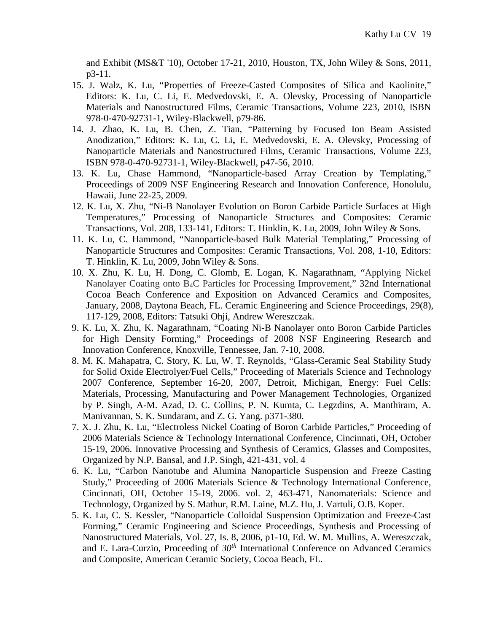and Exhibit (MS&T '10), October 17-21, 2010, Houston, TX, John Wiley & Sons, 2011, p3-11.

- 15. J. Walz, K. Lu, "Properties of Freeze-Casted Composites of Silica and Kaolinite," Editors: K. Lu, C. Li, E. Medvedovski, E. A. Olevsky, Processing of Nanoparticle Materials and Nanostructured Films, Ceramic Transactions, Volume 223, 2010, ISBN 978-0-470-92731-1, Wiley-Blackwell, p79-86.
- 14. J. Zhao, K. Lu, B. Chen, Z. Tian, "Patterning by Focused Ion Beam Assisted Anodization," Editors: K. Lu, C. Li**,** E. Medvedovski, E. A. Olevsky, Processing of Nanoparticle Materials and Nanostructured Films, Ceramic Transactions, Volume 223, ISBN 978-0-470-92731-1, Wiley-Blackwell, p47-56, 2010.
- 13. K. Lu, Chase Hammond, "Nanoparticle-based Array Creation by Templating," Proceedings of 2009 NSF Engineering Research and Innovation Conference, Honolulu, Hawaii, June 22-25, 2009.
- 12. K. Lu, X. Zhu, "Ni-B Nanolayer Evolution on Boron Carbide Particle Surfaces at High Temperatures," Processing of Nanoparticle Structures and Composites: Ceramic Transactions, Vol. 208, 133-141, Editors: T. Hinklin, K. Lu, 2009, John Wiley & Sons.
- 11. K. Lu, C. Hammond, "Nanoparticle-based Bulk Material Templating," Processing of Nanoparticle Structures and Composites: Ceramic Transactions, Vol. 208, 1-10, Editors: T. Hinklin, K. Lu, 2009, John Wiley & Sons.
- 10. X. Zhu, K. Lu, H. Dong, C. Glomb, E. Logan, K. Nagarathnam, "Applying Nickel Nanolayer Coating onto B4C Particles for Processing Improvement," 32nd International Cocoa Beach Conference and Exposition on Advanced Ceramics and Composites, January, 2008, Daytona Beach, FL. Ceramic Engineering and Science Proceedings, 29(8), 117-129, 2008, Editors: Tatsuki Ohji, Andrew Wereszczak.
- 9. K. Lu, X. Zhu, K. Nagarathnam, "Coating Ni-B Nanolayer onto Boron Carbide Particles for High Density Forming," Proceedings of 2008 NSF Engineering Research and Innovation Conference, Knoxville, Tennessee, Jan. 7-10, 2008.
- 8. M. K. Mahapatra, C. Story, K. Lu, W. T. Reynolds, "Glass-Ceramic Seal Stability Study for Solid Oxide Electrolyer/Fuel Cells," Proceeding of Materials Science and Technology 2007 Conference, September 16-20, 2007, Detroit, Michigan, Energy: Fuel Cells: Materials, Processing, Manufacturing and Power Management Technologies, Organized by P. Singh, A-M. Azad, D. C. Collins, P. N. Kumta, C. Legzdins, A. Manthiram, A. Manivannan, S. K. Sundaram, and Z. G. Yang. p371-380.
- 7. X. J. Zhu, K. Lu, "Electroless Nickel Coating of Boron Carbide Particles," Proceeding of 2006 Materials Science & Technology International Conference, Cincinnati, OH, October 15-19, 2006. Innovative Processing and Synthesis of Ceramics, Glasses and Composites, Organized by N.P. Bansal, and J.P. Singh, 421-431, vol. 4
- 6. K. Lu, "Carbon Nanotube and Alumina Nanoparticle Suspension and Freeze Casting Study," Proceeding of 2006 Materials Science & Technology International Conference, Cincinnati, OH, October 15-19, 2006. vol. 2, 463-471, Nanomaterials: Science and Technology, Organized by S. Mathur, R.M. Laine, M.Z. Hu, J. Vartuli, O.B. Koper.
- 5. K. Lu, C. S. Kessler, "Nanoparticle Colloidal Suspension Optimization and Freeze-Cast Forming," Ceramic Engineering and Science Proceedings, Synthesis and Processing of Nanostructured Materials, Vol. 27, Is. 8, 2006, p1-10, Ed. W. M. Mullins, A. Wereszczak, and E. Lara-Curzio, Proceeding of *30th* International Conference on Advanced Ceramics and Composite, American Ceramic Society, Cocoa Beach, FL.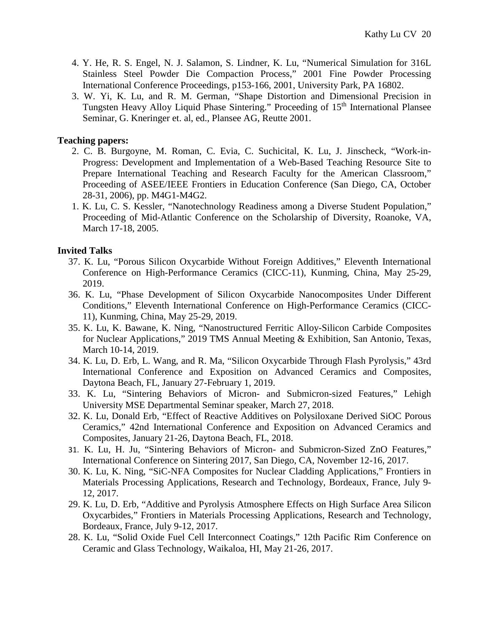- 4. Y. He, R. S. Engel, N. J. Salamon, S. Lindner, K. Lu, "Numerical Simulation for 316L Stainless Steel Powder Die Compaction Process," 2001 Fine Powder Processing International Conference Proceedings*,* p153-166, 2001, University Park, PA 16802.
- 3. W. Yi, K. Lu, and R. M. German, "Shape Distortion and Dimensional Precision in Tungsten Heavy Alloy Liquid Phase Sintering." Proceeding of 15<sup>th</sup> International Plansee Seminar, G. Kneringer et. al, ed., Plansee AG, Reutte 2001.

## **Teaching papers:**

- 2. C. B. Burgoyne, M. Roman, C. Evia, C. Suchicital, K. Lu, J. Jinscheck, "Work-in-Progress: Development and Implementation of a Web-Based Teaching Resource Site to Prepare International Teaching and Research Faculty for the American Classroom," Proceeding of ASEE/IEEE Frontiers in Education Conference (San Diego, CA, October 28-31, 2006), pp. M4G1-M4G2.
- 1. K. Lu, C. S. Kessler, "Nanotechnology Readiness among a Diverse Student Population," Proceeding of Mid-Atlantic Conference on the Scholarship of Diversity, Roanoke, VA, March 17-18, 2005.

# **Invited Talks**

- 37. K. Lu, "Porous Silicon Oxycarbide Without Foreign Additives," Eleventh International Conference on High-Performance Ceramics (CICC-11), Kunming, China, May 25-29, 2019.
- 36. K. Lu, "Phase Development of Silicon Oxycarbide Nanocomposites Under Different Conditions," Eleventh International Conference on High-Performance Ceramics (CICC-11), Kunming, China, May 25-29, 2019.
- 35. K. Lu, K. Bawane, K. Ning, "Nanostructured Ferritic Alloy-Silicon Carbide Composites for Nuclear Applications," 2019 TMS Annual Meeting & Exhibition, San Antonio, Texas, March 10-14, 2019.
- 34. K. Lu, D. Erb, L. Wang, and R. Ma, "Silicon Oxycarbide Through Flash Pyrolysis," 43rd International Conference and Exposition on Advanced Ceramics and Composites, Daytona Beach, FL, January 27-February 1, 2019.
- 33. K. Lu, "Sintering Behaviors of Micron- and Submicron-sized Features," Lehigh University MSE Departmental Seminar speaker, March 27, 2018.
- 32. K. Lu, Donald Erb, "Effect of Reactive Additives on Polysiloxane Derived SiOC Porous Ceramics," 42nd International Conference and Exposition on Advanced Ceramics and Composites, January 21-26, Daytona Beach, FL, 2018.
- 31. K. Lu, H. Ju, "Sintering Behaviors of Micron- and Submicron-Sized ZnO Features," International Conference on Sintering 2017, San Diego, CA, November 12-16, 2017.
- 30. K. Lu, K. Ning, "SiC-NFA Composites for Nuclear Cladding Applications," Frontiers in Materials Processing Applications, Research and Technology, Bordeaux, France, July 9- 12, 2017.
- 29. K. Lu, D. Erb, "Additive and Pyrolysis Atmosphere Effects on High Surface Area Silicon Oxycarbides," Frontiers in Materials Processing Applications, Research and Technology, Bordeaux, France, July 9-12, 2017.
- 28. K. Lu, "Solid Oxide Fuel Cell Interconnect Coatings," 12th Pacific Rim Conference on Ceramic and Glass Technology, Waikaloa, HI, May 21-26, 2017.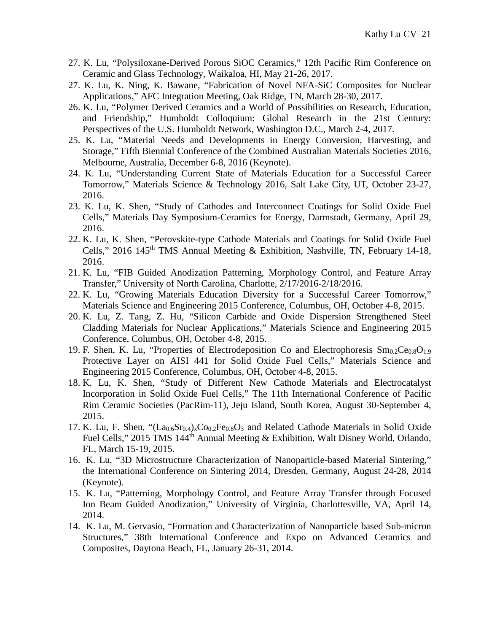- 27. K. Lu, "Polysiloxane-Derived Porous SiOC Ceramics," 12th Pacific Rim Conference on Ceramic and Glass Technology, Waikaloa, HI, May 21-26, 2017.
- 27. K. Lu, K. Ning, K. Bawane, "Fabrication of Novel NFA-SiC Composites for Nuclear Applications," AFC Integration Meeting, Oak Ridge, TN, March 28-30, 2017.
- 26. K. Lu, "Polymer Derived Ceramics and a World of Possibilities on Research, Education, and Friendship," Humboldt Colloquium: Global Research in the 21st Century: Perspectives of the U.S. Humboldt Network, Washington D.C., March 2-4, 2017.
- 25. K. Lu, "Material Needs and Developments in Energy Conversion, Harvesting, and Storage," Fifth Biennial Conference of the Combined Australian Materials Societies 2016, Melbourne, Australia, December 6-8, 2016 (Keynote).
- 24. K. Lu, "Understanding Current State of Materials Education for a Successful Career Tomorrow," Materials Science & Technology 2016, Salt Lake City, UT, October 23-27, 2016.
- 23. K. Lu, K. Shen, "Study of Cathodes and Interconnect Coatings for Solid Oxide Fuel Cells," Materials Day Symposium-Ceramics for Energy, Darmstadt, Germany, April 29, 2016.
- 22. K. Lu, K. Shen, "Perovskite-type Cathode Materials and Coatings for Solid Oxide Fuel Cells," 2016 145<sup>th</sup> TMS Annual Meeting & Exhibition, Nashville, TN, February 14-18, 2016.
- 21. K. Lu, "FIB Guided Anodization Patterning, Morphology Control, and Feature Array Transfer," University of North Carolina, Charlotte, 2/17/2016-2/18/2016.
- 22. K. Lu, "Growing Materials Education Diversity for a Successful Career Tomorrow," Materials Science and Engineering 2015 Conference, Columbus, OH, October 4-8, 2015.
- 20. K. Lu, Z. Tang, Z. Hu, "Silicon Carbide and Oxide Dispersion Strengthened Steel Cladding Materials for Nuclear Applications," Materials Science and Engineering 2015 Conference, Columbus, OH, October 4-8, 2015.
- 19. F. Shen, K. Lu, "Properties of Electrodeposition Co and Electrophoresis  $\text{Sm}_{0.2}\text{Ce}_{0.8}\text{O}_{1.9}$ Protective Layer on AISI 441 for Solid Oxide Fuel Cells," Materials Science and Engineering 2015 Conference, Columbus, OH, October 4-8, 2015.
- 18. K. Lu, K. Shen, "Study of Different New Cathode Materials and Electrocatalyst Incorporation in Solid Oxide Fuel Cells," The 11th International Conference of Pacific Rim Ceramic Societies (PacRim-11), Jeju Island, South Korea, August 30-September 4, 2015.
- 17. K. Lu, F. Shen, " $(La_{0.6}Sr_{0.4})_xCo_{0.2}Fe_{0.8}O_3$  and Related Cathode Materials in Solid Oxide Fuel Cells," 2015 TMS 144<sup>th</sup> Annual Meeting & Exhibition, Walt Disney World, Orlando, FL, March 15-19, 2015.
- 16. K. Lu, "3D Microstructure Characterization of Nanoparticle-based Material Sintering," the International Conference on Sintering 2014, Dresden, Germany, August 24-28, 2014 (Keynote).
- 15. K. Lu, "Patterning, Morphology Control, and Feature Array Transfer through Focused Ion Beam Guided Anodization," University of Virginia, Charlottesville, VA, April 14, 2014.
- 14. K. Lu, M. Gervasio, "Formation and Characterization of Nanoparticle based Sub-micron Structures," 38th International Conference and Expo on Advanced Ceramics and Composites, Daytona Beach, FL, January 26-31, 2014.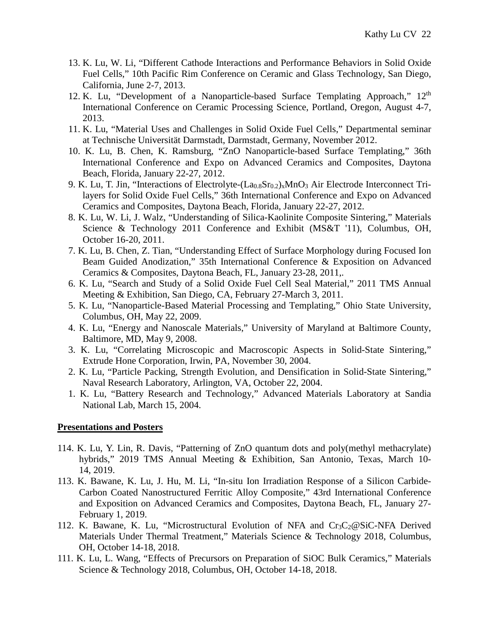- 13. K. Lu, W. Li, "Different Cathode Interactions and Performance Behaviors in Solid Oxide Fuel Cells," 10th Pacific Rim Conference on Ceramic and Glass Technology, San Diego, California, June 2-7, 2013.
- 12. K. Lu, "Development of a Nanoparticle-based Surface Templating Approach," 12<sup>th</sup> International Conference on Ceramic Processing Science, Portland, Oregon, August 4-7, 2013.
- 11. K. Lu, "Material Uses and Challenges in Solid Oxide Fuel Cells," Departmental seminar at Technische Universität Darmstadt, Darmstadt, Germany, November 2012.
- 10. K. Lu, B. Chen, K. Ramsburg, "ZnO Nanoparticle-based Surface Templating," 36th International Conference and Expo on Advanced Ceramics and Composites, Daytona Beach, Florida, January 22-27, 2012.
- 9. K. Lu, T. Jin, "Interactions of Electrolyte-(La<sub>0.8</sub>Sr<sub>0.2</sub>)<sub>x</sub>MnO<sub>3</sub> Air Electrode Interconnect Trilayers for Solid Oxide Fuel Cells," 36th International Conference and Expo on Advanced Ceramics and Composites, Daytona Beach, Florida, January 22-27, 2012.
- 8. K. Lu, W. Li, J. Walz, "Understanding of Silica-Kaolinite Composite Sintering," Materials Science & Technology 2011 Conference and Exhibit (MS&T '11), Columbus, OH, October 16-20, 2011.
- 7. K. Lu, B. Chen, Z. Tian, "Understanding Effect of Surface Morphology during Focused Ion Beam Guided Anodization," 35th International Conference & Exposition on Advanced Ceramics & Composites, Daytona Beach, FL, January 23-28, 2011,.
- 6. K. Lu, "Search and Study of a Solid Oxide Fuel Cell Seal Material," 2011 TMS Annual Meeting & Exhibition, San Diego, CA, February 27-March 3, 2011.
- 5. K. Lu, "Nanoparticle-Based Material Processing and Templating," Ohio State University, Columbus, OH, May 22, 2009.
- 4. K. Lu, "Energy and Nanoscale Materials," University of Maryland at Baltimore County, Baltimore, MD, May 9, 2008.
- 3. K. Lu, "Correlating Microscopic and Macroscopic Aspects in Solid-State Sintering," Extrude Hone Corporation, Irwin, PA, November 30, 2004.
- 2. K. Lu, "Particle Packing, Strength Evolution, and Densification in Solid-State Sintering," Naval Research Laboratory, Arlington, VA, October 22, 2004.
- 1. K. Lu, "Battery Research and Technology," Advanced Materials Laboratory at Sandia National Lab, March 15, 2004.

## **Presentations and Posters**

- 114. K. Lu, Y. Lin, R. Davis, "Patterning of ZnO quantum dots and poly(methyl methacrylate) hybrids," 2019 TMS Annual Meeting & Exhibition, San Antonio, Texas, March 10- 14, 2019.
- 113. K. Bawane, K. Lu, J. Hu, M. Li, "In-situ Ion Irradiation Response of a Silicon Carbide-Carbon Coated Nanostructured Ferritic Alloy Composite," 43rd International Conference and Exposition on Advanced Ceramics and Composites, Daytona Beach, FL, January 27- February 1, 2019.
- 112. K. Bawane, K. Lu, "Microstructural Evolution of NFA and  $Cr_3C_2@SiC-NFA$  Derived Materials Under Thermal Treatment," Materials Science & Technology 2018, Columbus, OH, October 14-18, 2018.
- 111. K. Lu, L. Wang, "Effects of Precursors on Preparation of SiOC Bulk Ceramics," Materials Science & Technology 2018, Columbus, OH, October 14-18, 2018.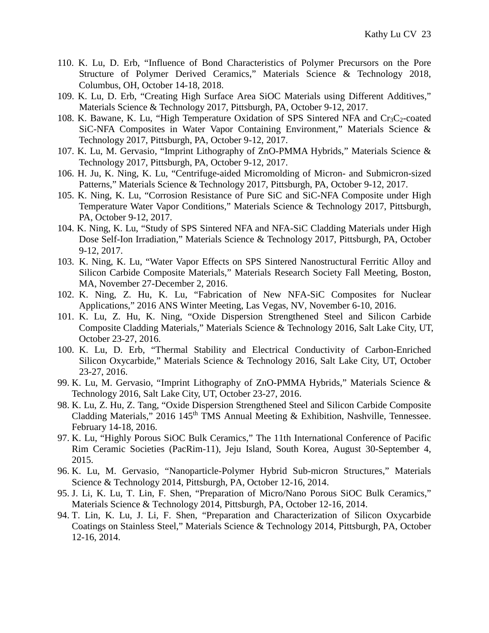- 110. K. Lu, D. Erb, "Influence of Bond Characteristics of Polymer Precursors on the Pore Structure of Polymer Derived Ceramics," Materials Science & Technology 2018, Columbus, OH, October 14-18, 2018.
- 109. K. Lu, D. Erb, "Creating High Surface Area SiOC Materials using Different Additives," Materials Science & Technology 2017, Pittsburgh, PA, October 9-12, 2017.
- 108. K. Bawane, K. Lu, "High Temperature Oxidation of SPS Sintered NFA and  $Cr_3C_2$ -coated SiC-NFA Composites in Water Vapor Containing Environment," Materials Science & Technology 2017, Pittsburgh, PA, October 9-12, 2017.
- 107. K. Lu, M. Gervasio, "Imprint Lithography of ZnO-PMMA Hybrids," Materials Science & Technology 2017, Pittsburgh, PA, October 9-12, 2017.
- 106. H. Ju, K. Ning, K. Lu, "Centrifuge-aided Micromolding of Micron- and Submicron-sized Patterns," Materials Science & Technology 2017, Pittsburgh, PA, October 9-12, 2017.
- 105. K. Ning, K. Lu, "Corrosion Resistance of Pure SiC and SiC-NFA Composite under High Temperature Water Vapor Conditions," Materials Science & Technology 2017, Pittsburgh, PA, October 9-12, 2017.
- 104. K. Ning, K. Lu, "Study of SPS Sintered NFA and NFA-SiC Cladding Materials under High Dose Self-Ion Irradiation," Materials Science & Technology 2017, Pittsburgh, PA, October 9-12, 2017.
- 103. K. Ning, K. Lu, "Water Vapor Effects on SPS Sintered Nanostructural Ferritic Alloy and Silicon Carbide Composite Materials," Materials Research Society Fall Meeting, Boston, MA, November 27-December 2, 2016.
- 102. K. Ning, Z. Hu, K. Lu, "Fabrication of New NFA-SiC Composites for Nuclear Applications," 2016 ANS Winter Meeting, Las Vegas, NV, November 6-10, 2016.
- 101. K. Lu, Z. Hu, K. Ning, "Oxide Dispersion Strengthened Steel and Silicon Carbide Composite Cladding Materials," Materials Science & Technology 2016, Salt Lake City, UT, October 23-27, 2016.
- 100. K. Lu, D. Erb, "Thermal Stability and Electrical Conductivity of Carbon-Enriched Silicon Oxycarbide," Materials Science & Technology 2016, Salt Lake City, UT, October 23-27, 2016.
- 99. K. Lu, M. Gervasio, "Imprint Lithography of ZnO-PMMA Hybrids," Materials Science & Technology 2016, Salt Lake City, UT, October 23-27, 2016.
- 98. K. Lu, Z. Hu, Z. Tang, "Oxide Dispersion Strengthened Steel and Silicon Carbide Composite Cladding Materials," 2016 145<sup>th</sup> TMS Annual Meeting & Exhibition, Nashville, Tennessee. February 14-18, 2016.
- 97. K. Lu, "Highly Porous SiOC Bulk Ceramics," The 11th International Conference of Pacific Rim Ceramic Societies (PacRim-11), Jeju Island, South Korea, August 30-September 4, 2015.
- 96. K. Lu, M. Gervasio, "Nanoparticle-Polymer Hybrid Sub-micron Structures," Materials Science & Technology 2014, Pittsburgh, PA, October 12-16, 2014.
- 95. J. Li, K. Lu, T. Lin, F. Shen, "Preparation of Micro/Nano Porous SiOC Bulk Ceramics," Materials Science & Technology 2014, Pittsburgh, PA, October 12-16, 2014.
- 94. T. Lin, K. Lu, J. Li, F. Shen, "Preparation and Characterization of Silicon Oxycarbide Coatings on Stainless Steel," Materials Science & Technology 2014, Pittsburgh, PA, October 12-16, 2014.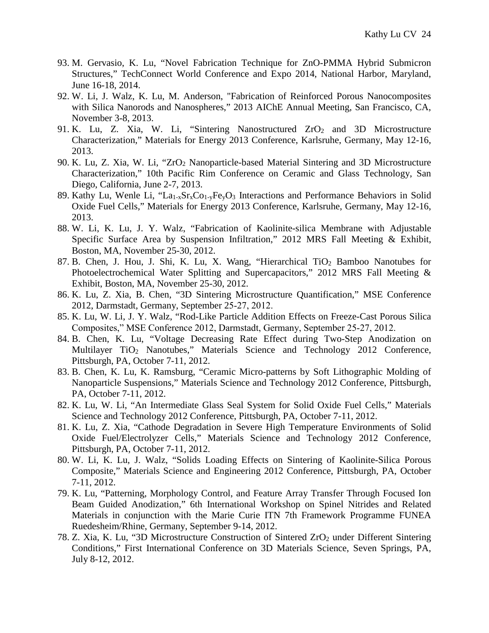- 93. M. Gervasio, K. Lu, "Novel Fabrication Technique for ZnO-PMMA Hybrid Submicron Structures," TechConnect World Conference and Expo 2014, National Harbor, Maryland, June 16-18, 2014.
- 92. W. Li, J. Walz, K. Lu, M. Anderson, "Fabrication of Reinforced Porous Nanocomposites with Silica Nanorods and Nanospheres," 2013 AIChE Annual Meeting, San Francisco, CA, November 3-8, 2013.
- 91. K. Lu, Z. Xia, W. Li, "Sintering Nanostructured ZrO<sub>2</sub> and 3D Microstructure Characterization," Materials for Energy 2013 Conference, Karlsruhe, Germany, May 12-16, 2013.
- 90. K. Lu, Z. Xia, W. Li, "ZrO2 Nanoparticle-based Material Sintering and 3D Microstructure Characterization," 10th Pacific Rim Conference on Ceramic and Glass Technology, San Diego, California, June 2-7, 2013.
- 89. Kathy Lu, Wenle Li, "La<sub>1-x</sub>Sr<sub>x</sub>Co<sub>1-y</sub>Fe<sub>y</sub>O<sub>3</sub> Interactions and Performance Behaviors in Solid Oxide Fuel Cells," Materials for Energy 2013 Conference, Karlsruhe, Germany, May 12-16, 2013.
- 88. W. Li, K. Lu, J. Y. Walz, "Fabrication of Kaolinite-silica Membrane with Adjustable Specific Surface Area by Suspension Infiltration," 2012 MRS Fall Meeting & Exhibit, Boston, MA, November 25-30, 2012.
- 87. B. Chen, J. Hou, J. Shi, K. Lu, X. Wang, "Hierarchical TiO2 Bamboo Nanotubes for Photoelectrochemical Water Splitting and Supercapacitors," 2012 MRS Fall Meeting & Exhibit, Boston, MA, November 25-30, 2012.
- 86. K. Lu, Z. Xia, B. Chen, "3D Sintering Microstructure Quantification," MSE Conference 2012, Darmstadt, Germany, September 25‐27, 2012.
- 85. K. Lu, W. Li, J. Y. Walz, "Rod-Like Particle Addition Effects on Freeze-Cast Porous Silica Composites," MSE Conference 2012, Darmstadt, Germany, September 25‐27, 2012.
- 84. B. Chen, K. Lu, "Voltage Decreasing Rate Effect during Two-Step Anodization on Multilayer TiO2 Nanotubes," Materials Science and Technology 2012 Conference, Pittsburgh, PA, October 7-11, 2012.
- 83. B. Chen, K. Lu, K. Ramsburg, "Ceramic Micro-patterns by Soft Lithographic Molding of Nanoparticle Suspensions," Materials Science and Technology 2012 Conference, Pittsburgh, PA, October 7-11, 2012.
- 82. K. Lu, W. Li, "An Intermediate Glass Seal System for Solid Oxide Fuel Cells," Materials Science and Technology 2012 Conference, Pittsburgh, PA, October 7-11, 2012.
- 81. K. Lu, Z. Xia, "Cathode Degradation in Severe High Temperature Environments of Solid Oxide Fuel/Electrolyzer Cells," Materials Science and Technology 2012 Conference, Pittsburgh, PA, October 7-11, 2012.
- 80. W. Li, K. Lu, J. Walz, "Solids Loading Effects on Sintering of Kaolinite-Silica Porous Composite," Materials Science and Engineering 2012 Conference, Pittsburgh, PA, October 7-11, 2012.
- 79. K. Lu, "Patterning, Morphology Control, and Feature Array Transfer Through Focused Ion Beam Guided Anodization," 6th International Workshop on Spinel Nitrides and Related Materials in conjunction with the Marie Curie ITN 7th Framework Programme FUNEA Ruedesheim/Rhine, Germany, September 9-14, 2012.
- 78. Z. Xia, K. Lu, "3D Microstructure Construction of Sintered  $ZrO<sub>2</sub>$  under Different Sintering Conditions," First International Conference on 3D Materials Science, Seven Springs, PA, July 8-12, 2012.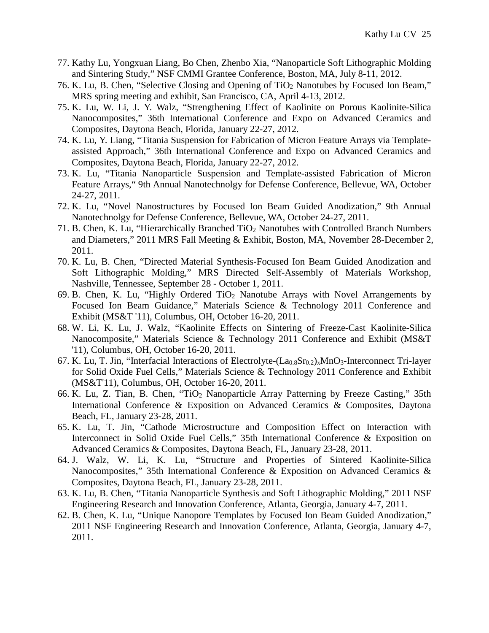- 77. Kathy Lu, Yongxuan Liang, Bo Chen, Zhenbo Xia, "Nanoparticle Soft Lithographic Molding and Sintering Study," NSF CMMI Grantee Conference, Boston, MA, July 8-11, 2012.
- 76. K. Lu, B. Chen, "Selective Closing and Opening of TiO<sub>2</sub> Nanotubes by Focused Ion Beam," MRS spring meeting and exhibit, San Francisco, CA, April 4-13, 2012.
- 75. K. Lu, W. Li, J. Y. Walz, "Strengthening Effect of Kaolinite on Porous Kaolinite-Silica Nanocomposites," 36th International Conference and Expo on Advanced Ceramics and Composites, Daytona Beach, Florida, January 22-27, 2012.
- 74. K. Lu, Y. Liang, "Titania Suspension for Fabrication of Micron Feature Arrays via Templateassisted Approach," 36th International Conference and Expo on Advanced Ceramics and Composites, Daytona Beach, Florida, January 22-27, 2012.
- 73. K. Lu, "Titania Nanoparticle Suspension and Template-assisted Fabrication of Micron Feature Arrays," 9th Annual Nanotechnolgy for Defense Conference, Bellevue, WA, October 24-27, 2011.
- 72. K. Lu, "Novel Nanostructures by Focused Ion Beam Guided Anodization," 9th Annual Nanotechnolgy for Defense Conference, Bellevue, WA, October 24-27, 2011.
- 71. B. Chen, K. Lu, "Hierarchically Branched TiO2 Nanotubes with Controlled Branch Numbers and Diameters," 2011 MRS Fall Meeting & Exhibit, Boston, MA, November 28-December 2, 2011.
- 70. K. Lu, B. Chen, "Directed Material Synthesis-Focused Ion Beam Guided Anodization and Soft Lithographic Molding," MRS Directed Self-Assembly of Materials Workshop, Nashville, Tennessee, September 28 - October 1, 2011.
- 69. B. Chen, K. Lu, "Highly Ordered TiO<sub>2</sub> Nanotube Arrays with Novel Arrangements by Focused Ion Beam Guidance," Materials Science & Technology 2011 Conference and Exhibit (MS&T '11), Columbus, OH, October 16-20, 2011.
- 68. W. Li, K. Lu, J. Walz, "Kaolinite Effects on Sintering of Freeze-Cast Kaolinite-Silica Nanocomposite," Materials Science & Technology 2011 Conference and Exhibit (MS&T '11), Columbus, OH, October 16-20, 2011.
- 67. K. Lu, T. Jin, "Interfacial Interactions of Electrolyte- $(La<sub>0.8</sub>Sr<sub>0.2</sub>)<sub>x</sub>MnO<sub>3</sub>$ -Interconnect Tri-layer for Solid Oxide Fuel Cells," Materials Science & Technology 2011 Conference and Exhibit (MS&T'11), Columbus, OH, October 16-20, 2011.
- 66. K. Lu, Z. Tian, B. Chen, "TiO2 Nanoparticle Array Patterning by Freeze Casting," 35th International Conference & Exposition on Advanced Ceramics & Composites, Daytona Beach, FL, January 23-28, 2011.
- 65. K. Lu, T. Jin, "Cathode Microstructure and Composition Effect on Interaction with Interconnect in Solid Oxide Fuel Cells," 35th International Conference & Exposition on Advanced Ceramics & Composites, Daytona Beach, FL, January 23-28, 2011.
- 64. J. Walz, W. Li, K. Lu, "Structure and Properties of Sintered Kaolinite-Silica Nanocomposites," 35th International Conference & Exposition on Advanced Ceramics & Composites, Daytona Beach, FL, January 23-28, 2011.
- 63. K. Lu, B. Chen, "Titania Nanoparticle Synthesis and Soft Lithographic Molding," 2011 NSF Engineering Research and Innovation Conference, Atlanta, Georgia, January 4-7, 2011.
- 62. B. Chen, K. Lu, "Unique Nanopore Templates by Focused Ion Beam Guided Anodization," 2011 NSF Engineering Research and Innovation Conference, Atlanta, Georgia, January 4-7, 2011.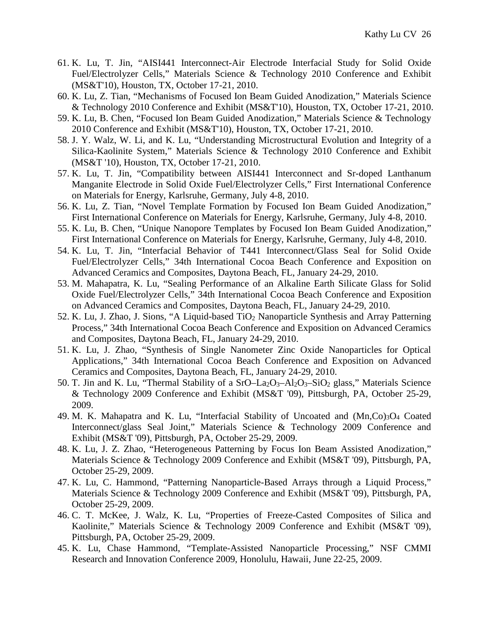- 61. K. Lu, T. Jin, "AISI441 Interconnect-Air Electrode Interfacial Study for Solid Oxide Fuel/Electrolyzer Cells," Materials Science & Technology 2010 Conference and Exhibit (MS&T'10), Houston, TX, October 17-21, 2010.
- 60. K. Lu, Z. Tian, "Mechanisms of Focused Ion Beam Guided Anodization," Materials Science & Technology 2010 Conference and Exhibit (MS&T'10), Houston, TX, October 17-21, 2010.
- 59. K. Lu, B. Chen, "Focused Ion Beam Guided Anodization," Materials Science & Technology 2010 Conference and Exhibit (MS&T'10), Houston, TX, October 17-21, 2010.
- 58. J. Y. Walz, W. Li, and K. Lu, "Understanding Microstructural Evolution and Integrity of a Silica-Kaolinite System," Materials Science & Technology 2010 Conference and Exhibit (MS&T '10), Houston, TX, October 17-21, 2010.
- 57. K. Lu, T. Jin, "Compatibility between AISI441 Interconnect and Sr-doped Lanthanum Manganite Electrode in Solid Oxide Fuel/Electrolyzer Cells," First International Conference on Materials for Energy, Karlsruhe, Germany, July 4-8, 2010.
- 56. K. Lu, Z. Tian, "Novel Template Formation by Focused Ion Beam Guided Anodization," First International Conference on Materials for Energy, Karlsruhe, Germany, July 4-8, 2010.
- 55. K. Lu, B. Chen, "Unique Nanopore Templates by Focused Ion Beam Guided Anodization," First International Conference on Materials for Energy, Karlsruhe, Germany, July 4-8, 2010.
- 54. K. Lu, T. Jin, "Interfacial Behavior of T441 Interconnect/Glass Seal for Solid Oxide Fuel/Electrolyzer Cells," 34th International Cocoa Beach Conference and Exposition on Advanced Ceramics and Composites, Daytona Beach, FL, January 24-29, 2010.
- 53. M. Mahapatra, K. Lu, "Sealing Performance of an Alkaline Earth Silicate Glass for Solid Oxide Fuel/Electrolyzer Cells," 34th International Cocoa Beach Conference and Exposition on Advanced Ceramics and Composites, Daytona Beach, FL, January 24-29, 2010.
- 52. K. Lu, J. Zhao, J. Sions, "A Liquid-based TiO2 Nanoparticle Synthesis and Array Patterning Process," 34th International Cocoa Beach Conference and Exposition on Advanced Ceramics and Composites, Daytona Beach, FL, January 24-29, 2010.
- 51. K. Lu, J. Zhao, "Synthesis of Single Nanometer Zinc Oxide Nanoparticles for Optical Applications," 34th International Cocoa Beach Conference and Exposition on Advanced Ceramics and Composites, Daytona Beach, FL, January 24-29, 2010.
- 50. T. Jin and K. Lu, "Thermal Stability of a  $SrO-La<sub>2</sub>O<sub>3</sub>–Al<sub>2</sub>O<sub>3</sub>–SiO<sub>2</sub> glass, " Materials Science$ & Technology 2009 Conference and Exhibit (MS&T '09), Pittsburgh, PA, October 25-29, 2009.
- 49. M. K. Mahapatra and K. Lu, "Interfacial Stability of Uncoated and (Mn, Co)<sub>3</sub>O<sub>4</sub> Coated Interconnect/glass Seal Joint," Materials Science & Technology 2009 Conference and Exhibit (MS&T '09), Pittsburgh, PA, October 25-29, 2009.
- 48. K. Lu, J. Z. Zhao, "Heterogeneous Patterning by Focus Ion Beam Assisted Anodization," Materials Science & Technology 2009 Conference and Exhibit (MS&T '09), Pittsburgh, PA, October 25-29, 2009.
- 47. K. Lu, C. Hammond, "Patterning Nanoparticle-Based Arrays through a Liquid Process," Materials Science & Technology 2009 Conference and Exhibit (MS&T '09), Pittsburgh, PA, October 25-29, 2009.
- 46. C. T. McKee, J. Walz, K. Lu, "Properties of Freeze-Casted Composites of Silica and Kaolinite," Materials Science & Technology 2009 Conference and Exhibit (MS&T '09), Pittsburgh, PA, October 25-29, 2009.
- 45. K. Lu, Chase Hammond, "Template-Assisted Nanoparticle Processing," NSF CMMI Research and Innovation Conference 2009, Honolulu, Hawaii, June 22-25, 2009.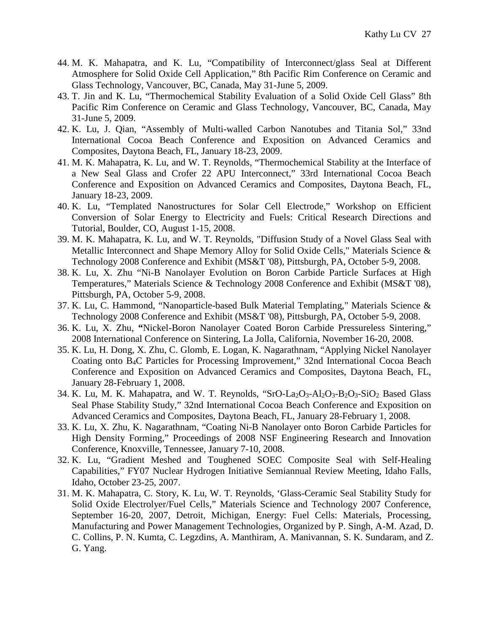- 44. M. K. Mahapatra, and K. Lu, "Compatibility of Interconnect/glass Seal at Different Atmosphere for Solid Oxide Cell Application," 8th Pacific Rim Conference on Ceramic and Glass Technology, Vancouver*,* BC, Canada, May 31-June 5, 2009.
- 43. T. Jin and K. Lu, "Thermochemical Stability Evaluation of a Solid Oxide Cell Glass" 8th Pacific Rim Conference on Ceramic and Glass Technology, Vancouver*,* BC, Canada, May 31-June 5, 2009.
- 42. K. Lu, J. Qian, "Assembly of Multi-walled Carbon Nanotubes and Titania Sol," 33nd International Cocoa Beach Conference and Exposition on Advanced Ceramics and Composites, Daytona Beach, FL, January 18-23, 2009.
- 41. M. K. Mahapatra, K. Lu, and W. T. Reynolds, "Thermochemical Stability at the Interface of a New Seal Glass and Crofer 22 APU Interconnect," 33rd International Cocoa Beach Conference and Exposition on Advanced Ceramics and Composites, Daytona Beach, FL, January 18-23, 2009.
- 40. K. Lu, "Templated Nanostructures for Solar Cell Electrode," Workshop on Efficient Conversion of Solar Energy to Electricity and Fuels: Critical Research Directions and Tutorial, Boulder, CO, August 1-15, 2008.
- 39. M. K. Mahapatra, K. Lu, and W. T. Reynolds, "Diffusion Study of a Novel Glass Seal with Metallic Interconnect and Shape Memory Alloy for Solid Oxide Cells," Materials Science & Technology 2008 Conference and Exhibit (MS&T '08), Pittsburgh, PA, October 5-9, 2008.
- 38. K. Lu, X. Zhu "Ni-B Nanolayer Evolution on Boron Carbide Particle Surfaces at High Temperatures," Materials Science & Technology 2008 Conference and Exhibit (MS&T '08), Pittsburgh, PA, October 5-9, 2008.
- 37. K. Lu, C. Hammond, "Nanoparticle-based Bulk Material Templating," Materials Science & Technology 2008 Conference and Exhibit (MS&T '08), Pittsburgh, PA, October 5-9, 2008.
- 36. K. Lu, X. Zhu, **"**Nickel-Boron Nanolayer Coated Boron Carbide Pressureless Sintering," 2008 International Conference on Sintering, La Jolla, California, November 16-20, 2008.
- 35. K. Lu, H. Dong, X. Zhu, C. Glomb, E. Logan, K. Nagarathnam, "Applying Nickel Nanolayer Coating onto B4C Particles for Processing Improvement," 32nd International Cocoa Beach Conference and Exposition on Advanced Ceramics and Composites, Daytona Beach, FL, January 28-February 1, 2008.
- 34. K. Lu, M. K. Mahapatra, and W. T. Reynolds, "SrO-La<sub>2</sub>O<sub>3</sub>-Al<sub>2</sub>O<sub>3</sub>-B<sub>2</sub>O<sub>3</sub>-SiO<sub>2</sub> Based Glass Seal Phase Stability Study," 32nd International Cocoa Beach Conference and Exposition on Advanced Ceramics and Composites, Daytona Beach, FL, January 28-February 1, 2008.
- 33. K. Lu, X. Zhu, K. Nagarathnam, "Coating Ni-B Nanolayer onto Boron Carbide Particles for High Density Forming," Proceedings of 2008 NSF Engineering Research and Innovation Conference, Knoxville, Tennessee, January 7-10, 2008.
- 32. K. Lu, "Gradient Meshed and Toughened SOEC Composite Seal with Self-Healing Capabilities," FY07 Nuclear Hydrogen Initiative Semiannual Review Meeting, Idaho Falls, Idaho, October 23-25, 2007.
- 31. M. K. Mahapatra, C. Story, K. Lu, W. T. Reynolds, 'Glass-Ceramic Seal Stability Study for Solid Oxide Electrolyer/Fuel Cells," Materials Science and Technology 2007 Conference, September 16-20, 2007, Detroit, Michigan, Energy: Fuel Cells: Materials, Processing, Manufacturing and Power Management Technologies, Organized by P. Singh, A-M. Azad, D. C. Collins, P. N. Kumta, C. Legzdins, A. Manthiram, A. Manivannan, S. K. Sundaram, and Z. G. Yang.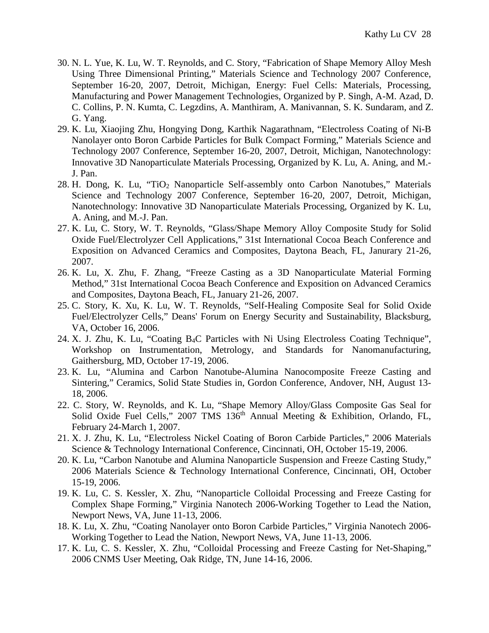- 30. N. L. Yue, K. Lu, W. T. Reynolds, and C. Story, "Fabrication of Shape Memory Alloy Mesh Using Three Dimensional Printing," Materials Science and Technology 2007 Conference, September 16-20, 2007, Detroit, Michigan, Energy: Fuel Cells: Materials, Processing, Manufacturing and Power Management Technologies, Organized by P. Singh, A-M. Azad, D. C. Collins, P. N. Kumta, C. Legzdins, A. Manthiram, A. Manivannan, S. K. Sundaram, and Z. G. Yang.
- 29. K. Lu, Xiaojing Zhu, Hongying Dong, Karthik Nagarathnam, "Electroless Coating of Ni-B Nanolayer onto Boron Carbide Particles for Bulk Compact Forming," Materials Science and Technology 2007 Conference, September 16-20, 2007, Detroit, Michigan, Nanotechnology: Innovative 3D Nanoparticulate Materials Processing, Organized by K. Lu, A. Aning, and M.- J. Pan.
- 28. H. Dong, K. Lu, "TiO2 Nanoparticle Self-assembly onto Carbon Nanotubes," Materials Science and Technology 2007 Conference, September 16-20, 2007, Detroit, Michigan, Nanotechnology: Innovative 3D Nanoparticulate Materials Processing, Organized by K. Lu, A. Aning, and M.-J. Pan.
- 27. K. Lu, C. Story, W. T. Reynolds, "Glass/Shape Memory Alloy Composite Study for Solid Oxide Fuel/Electrolyzer Cell Applications," 31st International Cocoa Beach Conference and Exposition on Advanced Ceramics and Composites, Daytona Beach, FL, Janurary 21-26, 2007.
- 26. K. Lu, X. Zhu, F. Zhang, "Freeze Casting as a 3D Nanoparticulate Material Forming Method," 31st International Cocoa Beach Conference and Exposition on Advanced Ceramics and Composites, Daytona Beach, FL, January 21-26, 2007.
- 25. C. Story, K. Xu, K. Lu, W. T. Reynolds, "Self-Healing Composite Seal for Solid Oxide Fuel/Electrolyzer Cells," Deans' Forum on Energy Security and Sustainability, Blacksburg, VA, October 16, 2006.
- 24. X. J. Zhu, K. Lu, "Coating B4C Particles with Ni Using Electroless Coating Technique", Workshop on Instrumentation, Metrology, and Standards for Nanomanufacturing, Gaithersburg, MD, October 17-19, 2006.
- 23. K. Lu, "Alumina and Carbon Nanotube-Alumina Nanocomposite Freeze Casting and Sintering," Ceramics, Solid State Studies in, Gordon Conference, Andover, NH, August 13- 18, 2006.
- 22. C. Story, W. Reynolds, and K. Lu, "Shape Memory Alloy/Glass Composite Gas Seal for Solid Oxide Fuel Cells," 2007 TMS  $136<sup>th</sup>$  Annual Meeting & Exhibition, Orlando, FL, February 24-March 1, 2007.
- 21. X. J. Zhu, K. Lu, "Electroless Nickel Coating of Boron Carbide Particles," 2006 Materials Science & Technology International Conference, Cincinnati, OH, October 15-19, 2006.
- 20. K. Lu, "Carbon Nanotube and Alumina Nanoparticle Suspension and Freeze Casting Study," 2006 Materials Science & Technology International Conference, Cincinnati, OH, October 15-19, 2006.
- 19. K. Lu, C. S. Kessler, X. Zhu, "Nanoparticle Colloidal Processing and Freeze Casting for Complex Shape Forming," Virginia Nanotech 2006-Working Together to Lead the Nation, Newport News, VA, June 11-13, 2006.
- 18. K. Lu, X. Zhu, "Coating Nanolayer onto Boron Carbide Particles," Virginia Nanotech 2006- Working Together to Lead the Nation, Newport News, VA, June 11-13, 2006.
- 17. K. Lu, C. S. Kessler, X. Zhu, "Colloidal Processing and Freeze Casting for Net-Shaping," 2006 CNMS User Meeting, Oak Ridge, TN, June 14-16, 2006.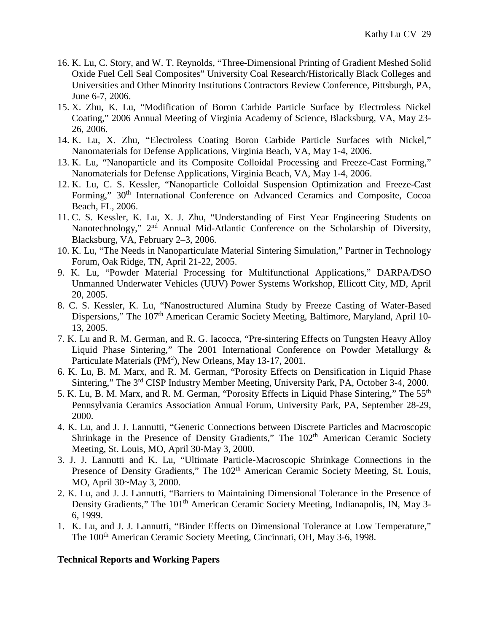- 16. K. Lu, C. Story, and W. T. Reynolds, "Three-Dimensional Printing of Gradient Meshed Solid Oxide Fuel Cell Seal Composites" University Coal Research/Historically Black Colleges and Universities and Other Minority Institutions Contractors Review Conference, Pittsburgh, PA, June 6-7, 2006.
- 15. X. Zhu, K. Lu, "Modification of Boron Carbide Particle Surface by Electroless Nickel Coating," 2006 Annual Meeting of Virginia Academy of Science, Blacksburg, VA, May 23- 26, 2006.
- 14. K. Lu, X. Zhu, "Electroless Coating Boron Carbide Particle Surfaces with Nickel," Nanomaterials for Defense Applications, Virginia Beach, VA, May 1-4, 2006.
- 13. K. Lu, "Nanoparticle and its Composite Colloidal Processing and Freeze-Cast Forming," Nanomaterials for Defense Applications, Virginia Beach, VA, May 1-4, 2006.
- 12. K. Lu, C. S. Kessler, "Nanoparticle Colloidal Suspension Optimization and Freeze-Cast Forming," 30<sup>th</sup> International Conference on Advanced Ceramics and Composite, Cocoa Beach, FL, 2006.
- 11. C. S. Kessler, K. Lu, X. J. Zhu, "Understanding of First Year Engineering Students on Nanotechnology," 2<sup>nd</sup> Annual Mid-Atlantic Conference on the Scholarship of Diversity, Blacksburg, VA, February 2–3, 2006.
- 10. K. Lu, "The Needs in Nanoparticulate Material Sintering Simulation," Partner in Technology Forum, Oak Ridge, TN, April 21-22, 2005.
- 9. K. Lu, "Powder Material Processing for Multifunctional Applications," DARPA/DSO Unmanned Underwater Vehicles (UUV) Power Systems Workshop, Ellicott City, MD, April 20, 2005.
- 8. C. S. Kessler, K. Lu, "Nanostructured Alumina Study by Freeze Casting of Water-Based Dispersions," The 107<sup>th</sup> American Ceramic Society Meeting, Baltimore, Maryland, April 10-13, 2005.
- 7. K. Lu and R. M. German, and R. G. Iacocca, "Pre-sintering Effects on Tungsten Heavy Alloy Liquid Phase Sintering," The 2001 International Conference on Powder Metallurgy & Particulate Materials (PM<sup>2</sup>), New Orleans, May 13-17, 2001.
- 6. K. Lu, B. M. Marx, and R. M. German, "Porosity Effects on Densification in Liquid Phase Sintering," The 3rd CISP Industry Member Meeting, University Park, PA, October 3-4, 2000.
- 5. K. Lu, B. M. Marx, and R. M. German, "Porosity Effects in Liquid Phase Sintering," The 55th Pennsylvania Ceramics Association Annual Forum, University Park, PA, September 28-29, 2000.
- 4. K. Lu, and J. J. Lannutti, "Generic Connections between Discrete Particles and Macroscopic Shrinkage in the Presence of Density Gradients," The 102<sup>th</sup> American Ceramic Society Meeting, St. Louis, MO, April 30-May 3, 2000.
- 3. J. J. Lannutti and K. Lu, "Ultimate Particle-Macroscopic Shrinkage Connections in the Presence of Density Gradients," The 102<sup>th</sup> American Ceramic Society Meeting, St. Louis, MO, April 30~May 3, 2000.
- 2. K. Lu, and J. J. Lannutti, "Barriers to Maintaining Dimensional Tolerance in the Presence of Density Gradients," The 101<sup>th</sup> American Ceramic Society Meeting, Indianapolis, IN, May 3-6, 1999.
- 1. K. Lu, and J. J. Lannutti, "Binder Effects on Dimensional Tolerance at Low Temperature," The 100<sup>th</sup> American Ceramic Society Meeting, Cincinnati, OH, May 3-6, 1998.

## **Technical Reports and Working Papers**